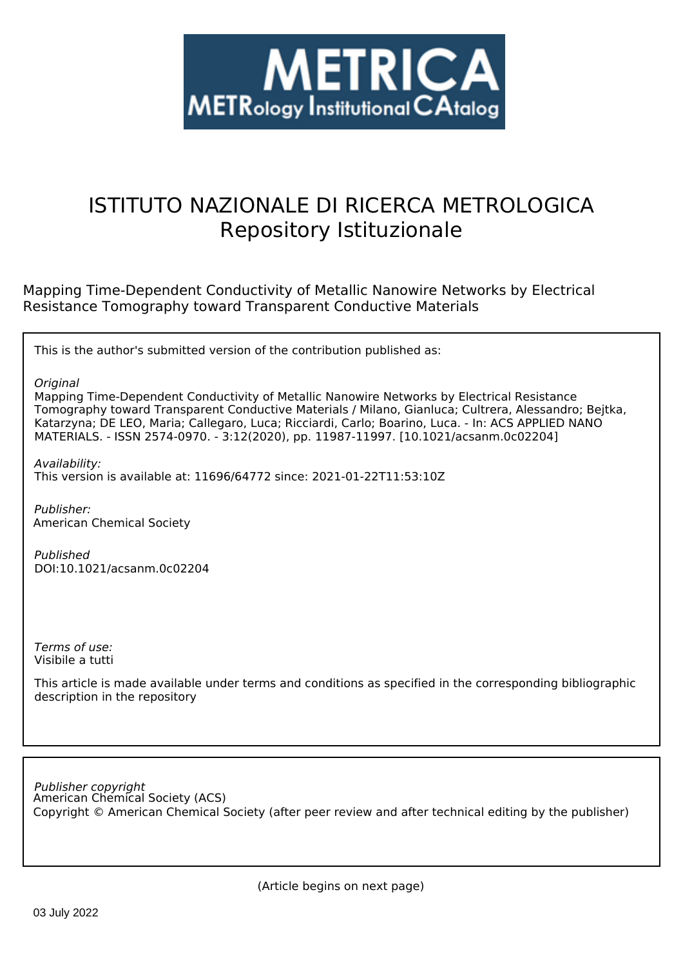

# ISTITUTO NAZIONALE DI RICERCA METROLOGICA Repository Istituzionale

Mapping Time-Dependent Conductivity of Metallic Nanowire Networks by Electrical Resistance Tomography toward Transparent Conductive Materials

This is the author's submitted version of the contribution published as:

*Original*

Mapping Time-Dependent Conductivity of Metallic Nanowire Networks by Electrical Resistance Tomography toward Transparent Conductive Materials / Milano, Gianluca; Cultrera, Alessandro; Bejtka, Katarzyna; DE LEO, Maria; Callegaro, Luca; Ricciardi, Carlo; Boarino, Luca. - In: ACS APPLIED NANO MATERIALS. - ISSN 2574-0970. - 3:12(2020), pp. 11987-11997. [10.1021/acsanm.0c02204]

*Availability:* This version is available at: 11696/64772 since: 2021-01-22T11:53:10Z

*Publisher:* American Chemical Society

*Published* DOI:10.1021/acsanm.0c02204

*Terms of use:* Visibile a tutti

This article is made available under terms and conditions as specified in the corresponding bibliographic description in the repository

American Chemical Society (ACS) *Publisher copyright* Copyright © American Chemical Society (after peer review and after technical editing by the publisher)

(Article begins on next page)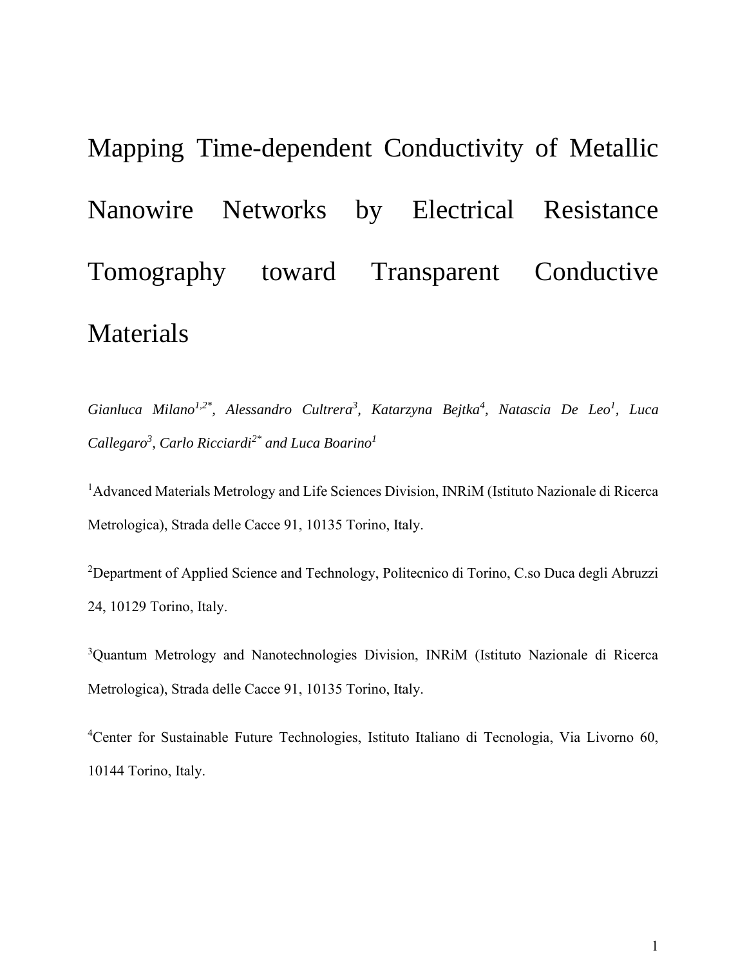Mapping Time-dependent Conductivity of Metallic Nanowire Networks by Electrical Resistance Tomography toward Transparent Conductive Materials

*Gianluca Milano1,2\*, Alessandro Cultrera<sup>3</sup> , Katarzyna Bejtka<sup>4</sup> , Natascia De Leo<sup>1</sup> , Luca Callegaro<sup>3</sup> , Carlo Ricciardi2\* and Luca Boarino<sup>1</sup>*

<sup>1</sup>Advanced Materials Metrology and Life Sciences Division, INRiM (Istituto Nazionale di Ricerca Metrologica), Strada delle Cacce 91, 10135 Torino, Italy.

<sup>2</sup>Department of Applied Science and Technology, Politecnico di Torino, C.so Duca degli Abruzzi 24, 10129 Torino, Italy.

<sup>3</sup>Quantum Metrology and Nanotechnologies Division, INRiM (Istituto Nazionale di Ricerca Metrologica), Strada delle Cacce 91, 10135 Torino, Italy.

<sup>4</sup>Center for Sustainable Future Technologies, Istituto Italiano di Tecnologia, Via Livorno 60, 10144 Torino, Italy.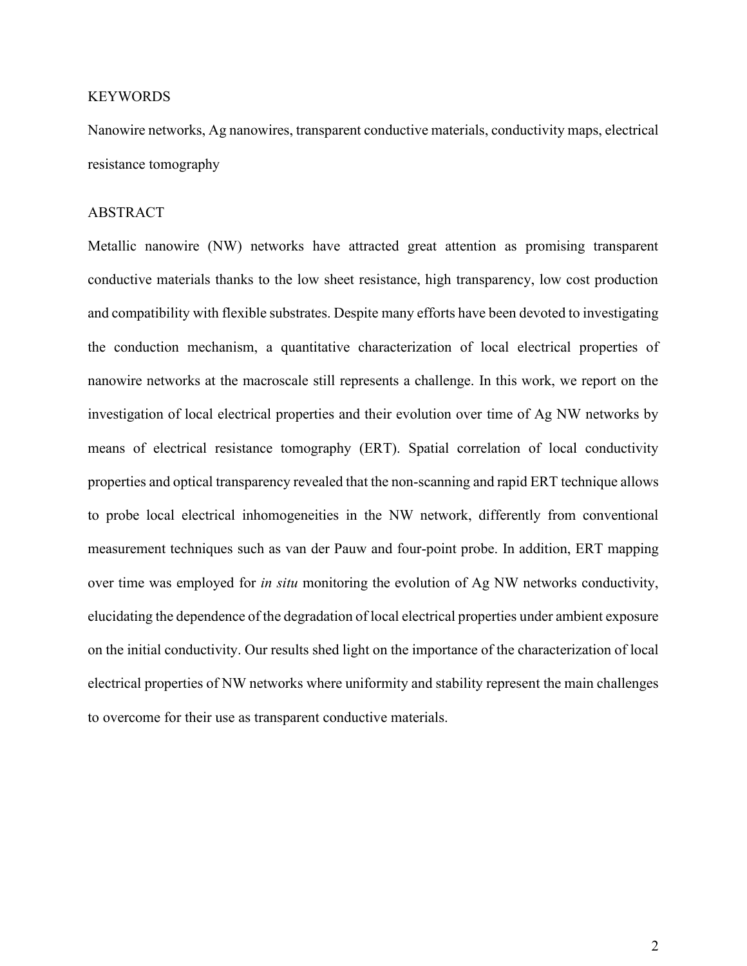## **KEYWORDS**

Nanowire networks, Ag nanowires, transparent conductive materials, conductivity maps, electrical resistance tomography

## ABSTRACT

Metallic nanowire (NW) networks have attracted great attention as promising transparent conductive materials thanks to the low sheet resistance, high transparency, low cost production and compatibility with flexible substrates. Despite many efforts have been devoted to investigating the conduction mechanism, a quantitative characterization of local electrical properties of nanowire networks at the macroscale still represents a challenge. In this work, we report on the investigation of local electrical properties and their evolution over time of Ag NW networks by means of electrical resistance tomography (ERT). Spatial correlation of local conductivity properties and optical transparency revealed that the non-scanning and rapid ERT technique allows to probe local electrical inhomogeneities in the NW network, differently from conventional measurement techniques such as van der Pauw and four-point probe. In addition, ERT mapping over time was employed for *in situ* monitoring the evolution of Ag NW networks conductivity, elucidating the dependence of the degradation of local electrical properties under ambient exposure on the initial conductivity. Our results shed light on the importance of the characterization of local electrical properties of NW networks where uniformity and stability represent the main challenges to overcome for their use as transparent conductive materials.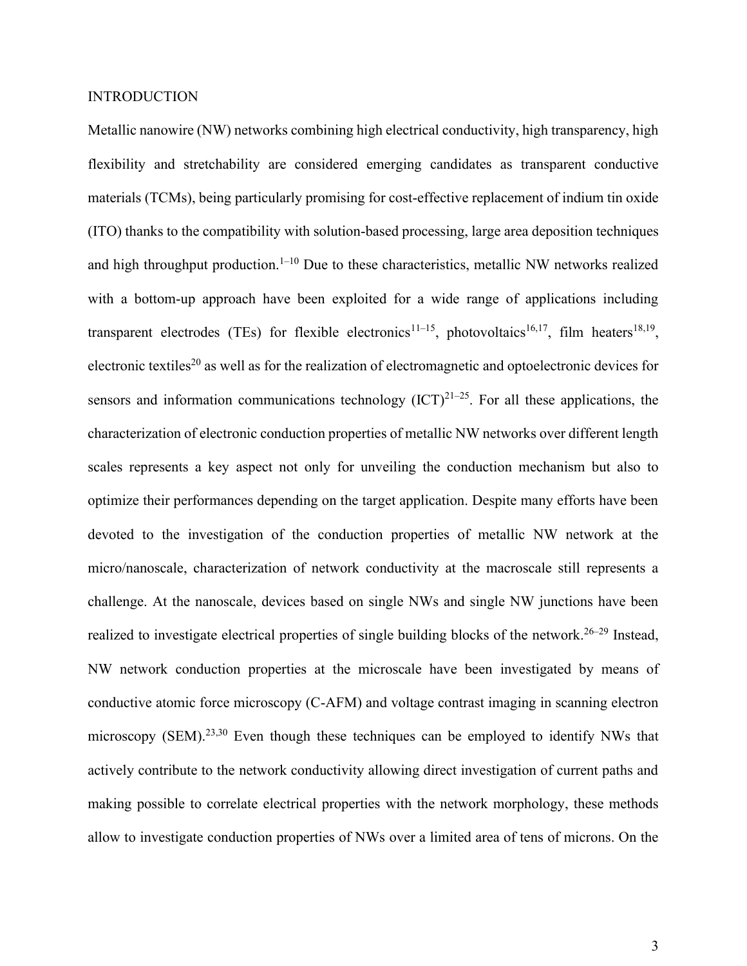## INTRODUCTION

Metallic nanowire (NW) networks combining high electrical conductivity, high transparency, high flexibility and stretchability are considered emerging candidates as transparent conductive materials (TCMs), being particularly promising for cost-effective replacement of indium tin oxide (ITO) thanks to the compatibility with solution-based processing, large area deposition techniques and high throughput production.<sup>1–10</sup> Due to these characteristics, metallic NW networks realized with a bottom-up approach have been exploited for a wide range of applications including transparent electrodes (TEs) for flexible electronics<sup>11–15</sup>, photovoltaics<sup>16,17</sup>, film heaters<sup>18,19</sup>, electronic textiles<sup>20</sup> as well as for the realization of electromagnetic and optoelectronic devices for sensors and information communications technology  $(ICT)^{21-25}$ . For all these applications, the characterization of electronic conduction properties of metallic NW networks over different length scales represents a key aspect not only for unveiling the conduction mechanism but also to optimize their performances depending on the target application. Despite many efforts have been devoted to the investigation of the conduction properties of metallic NW network at the micro/nanoscale, characterization of network conductivity at the macroscale still represents a challenge. At the nanoscale, devices based on single NWs and single NW junctions have been realized to investigate electrical properties of single building blocks of the network.<sup>26–29</sup> Instead, NW network conduction properties at the microscale have been investigated by means of conductive atomic force microscopy (C-AFM) and voltage contrast imaging in scanning electron microscopy (SEM).<sup>23,30</sup> Even though these techniques can be employed to identify NWs that actively contribute to the network conductivity allowing direct investigation of current paths and making possible to correlate electrical properties with the network morphology, these methods allow to investigate conduction properties of NWs over a limited area of tens of microns. On the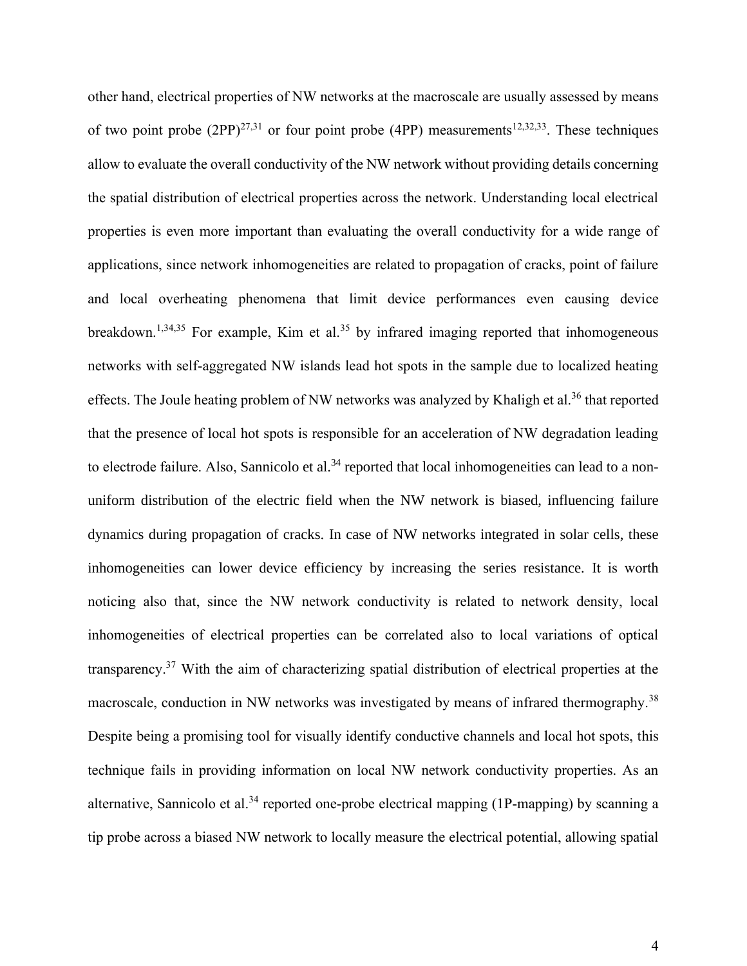other hand, electrical properties of NW networks at the macroscale are usually assessed by means of two point probe  $(2PP)^{27,31}$  or four point probe (4PP) measurements<sup>12,32,33</sup>. These techniques allow to evaluate the overall conductivity of the NW network without providing details concerning the spatial distribution of electrical properties across the network. Understanding local electrical properties is even more important than evaluating the overall conductivity for a wide range of applications, since network inhomogeneities are related to propagation of cracks, point of failure and local overheating phenomena that limit device performances even causing device breakdown.<sup>1,34,35</sup> For example, Kim et al.<sup>35</sup> by infrared imaging reported that inhomogeneous networks with self-aggregated NW islands lead hot spots in the sample due to localized heating effects. The Joule heating problem of NW networks was analyzed by Khaligh et al.<sup>36</sup> that reported that the presence of local hot spots is responsible for an acceleration of NW degradation leading to electrode failure. Also, Sannicolo et al.<sup>34</sup> reported that local inhomogeneities can lead to a nonuniform distribution of the electric field when the NW network is biased, influencing failure dynamics during propagation of cracks. In case of NW networks integrated in solar cells, these inhomogeneities can lower device efficiency by increasing the series resistance. It is worth noticing also that, since the NW network conductivity is related to network density, local inhomogeneities of electrical properties can be correlated also to local variations of optical transparency.<sup>37</sup> With the aim of characterizing spatial distribution of electrical properties at the macroscale, conduction in NW networks was investigated by means of infrared thermography.<sup>38</sup> Despite being a promising tool for visually identify conductive channels and local hot spots, this technique fails in providing information on local NW network conductivity properties. As an alternative, Sannicolo et al.<sup>34</sup> reported one-probe electrical mapping (1P-mapping) by scanning a tip probe across a biased NW network to locally measure the electrical potential, allowing spatial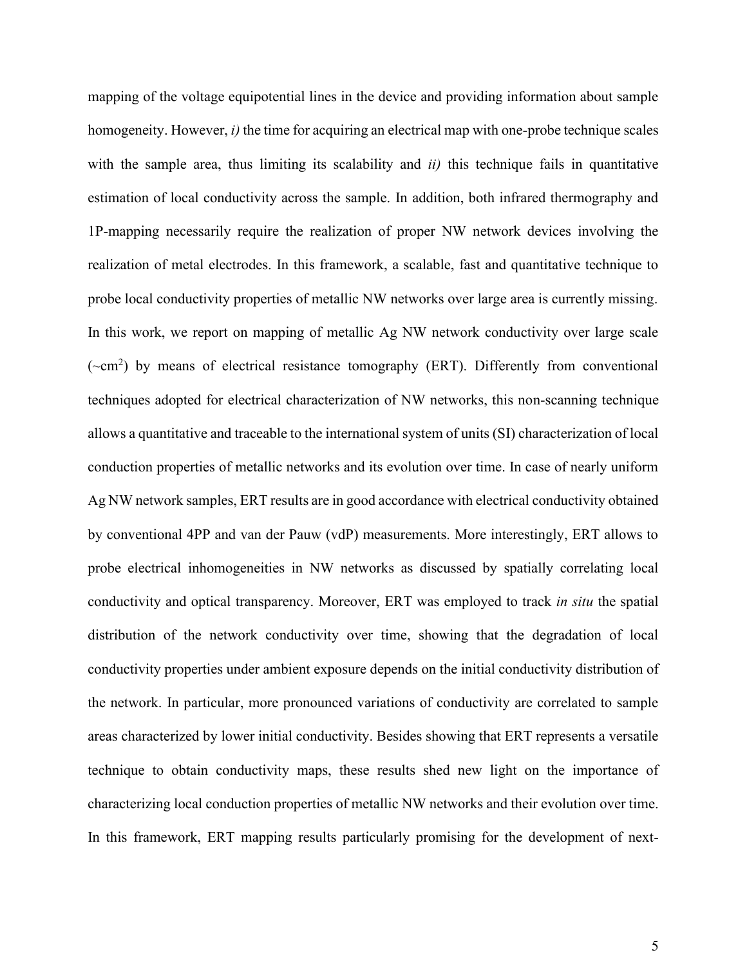mapping of the voltage equipotential lines in the device and providing information about sample homogeneity. However, *i)* the time for acquiring an electrical map with one-probe technique scales with the sample area, thus limiting its scalability and *ii)* this technique fails in quantitative estimation of local conductivity across the sample. In addition, both infrared thermography and 1P-mapping necessarily require the realization of proper NW network devices involving the realization of metal electrodes. In this framework, a scalable, fast and quantitative technique to probe local conductivity properties of metallic NW networks over large area is currently missing. In this work, we report on mapping of metallic Ag NW network conductivity over large scale  $({\sim}cm<sup>2</sup>)$  by means of electrical resistance tomography (ERT). Differently from conventional techniques adopted for electrical characterization of NW networks, this non-scanning technique allows a quantitative and traceable to the international system of units (SI) characterization of local conduction properties of metallic networks and its evolution over time. In case of nearly uniform Ag NW network samples, ERT results are in good accordance with electrical conductivity obtained by conventional 4PP and van der Pauw (vdP) measurements. More interestingly, ERT allows to probe electrical inhomogeneities in NW networks as discussed by spatially correlating local conductivity and optical transparency. Moreover, ERT was employed to track *in situ* the spatial distribution of the network conductivity over time, showing that the degradation of local conductivity properties under ambient exposure depends on the initial conductivity distribution of the network. In particular, more pronounced variations of conductivity are correlated to sample areas characterized by lower initial conductivity. Besides showing that ERT represents a versatile technique to obtain conductivity maps, these results shed new light on the importance of characterizing local conduction properties of metallic NW networks and their evolution over time. In this framework, ERT mapping results particularly promising for the development of next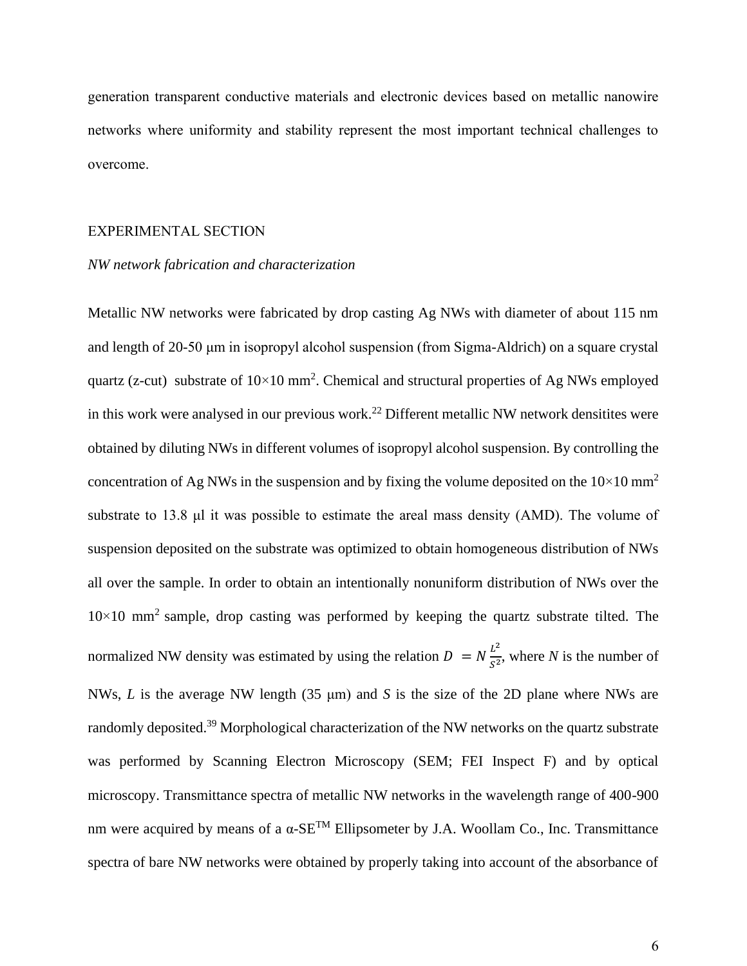generation transparent conductive materials and electronic devices based on metallic nanowire networks where uniformity and stability represent the most important technical challenges to overcome.

#### EXPERIMENTAL SECTION

#### *NW network fabrication and characterization*

Metallic NW networks were fabricated by drop casting Ag NWs with diameter of about 115 nm and length of 20-50 μm in isopropyl alcohol suspension (from Sigma-Aldrich) on a square crystal quartz (z-cut) substrate of  $10 \times 10$  mm<sup>2</sup>. Chemical and structural properties of Ag NWs employed in this work were analysed in our previous work.<sup>22</sup> Different metallic NW network densitites were obtained by diluting NWs in different volumes of isopropyl alcohol suspension. By controlling the concentration of Ag NWs in the suspension and by fixing the volume deposited on the  $10\times10$  mm<sup>2</sup> substrate to 13.8 μl it was possible to estimate the areal mass density (AMD). The volume of suspension deposited on the substrate was optimized to obtain homogeneous distribution of NWs all over the sample. In order to obtain an intentionally nonuniform distribution of NWs over the  $10\times10$  mm<sup>2</sup> sample, drop casting was performed by keeping the quartz substrate tilted. The normalized NW density was estimated by using the relation  $D = N \frac{L^2}{c^2}$  $\frac{L}{s^2}$ , where *N* is the number of NWs, *L* is the average NW length (35 μm) and *S* is the size of the 2D plane where NWs are randomly deposited.<sup>39</sup> Morphological characterization of the NW networks on the quartz substrate was performed by Scanning Electron Microscopy (SEM; FEI Inspect F) and by optical microscopy. Transmittance spectra of metallic NW networks in the wavelength range of 400-900 nm were acquired by means of a α-SETM Ellipsometer by J.A. Woollam Co., Inc. Transmittance spectra of bare NW networks were obtained by properly taking into account of the absorbance of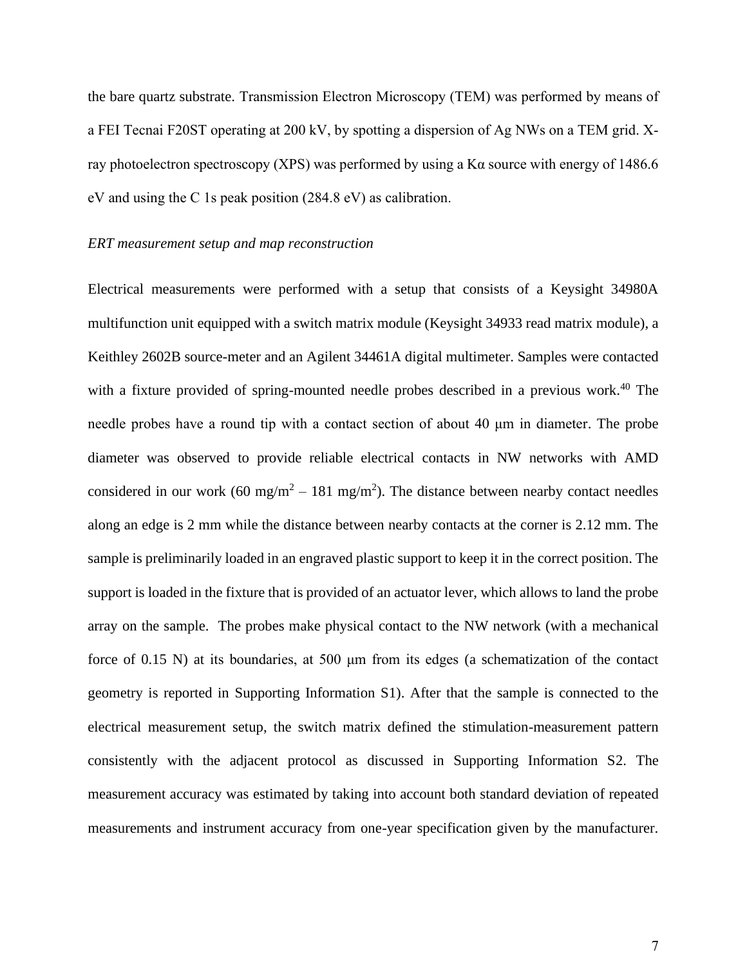the bare quartz substrate. Transmission Electron Microscopy (TEM) was performed by means of a FEI Tecnai F20ST operating at 200 kV, by spotting a dispersion of Ag NWs on a TEM grid. Xray photoelectron spectroscopy (XPS) was performed by using a K $\alpha$  source with energy of 1486.6 eV and using the C 1s peak position (284.8 eV) as calibration.

#### *ERT measurement setup and map reconstruction*

Electrical measurements were performed with a setup that consists of a Keysight 34980A multifunction unit equipped with a switch matrix module (Keysight 34933 read matrix module), a Keithley 2602B source-meter and an Agilent 34461A digital multimeter. Samples were contacted with a fixture provided of spring-mounted needle probes described in a previous work.<sup>40</sup> The needle probes have a round tip with a contact section of about 40 μm in diameter. The probe diameter was observed to provide reliable electrical contacts in NW networks with AMD considered in our work (60 mg/m<sup>2</sup> – 181 mg/m<sup>2</sup>). The distance between nearby contact needles along an edge is 2 mm while the distance between nearby contacts at the corner is 2.12 mm. The sample is preliminarily loaded in an engraved plastic support to keep it in the correct position. The support is loaded in the fixture that is provided of an actuator lever, which allows to land the probe array on the sample. The probes make physical contact to the NW network (with a mechanical force of 0.15 N) at its boundaries, at 500 μm from its edges (a schematization of the contact geometry is reported in Supporting Information S1). After that the sample is connected to the electrical measurement setup, the switch matrix defined the stimulation-measurement pattern consistently with the adjacent protocol as discussed in Supporting Information S2. The measurement accuracy was estimated by taking into account both standard deviation of repeated measurements and instrument accuracy from one-year specification given by the manufacturer.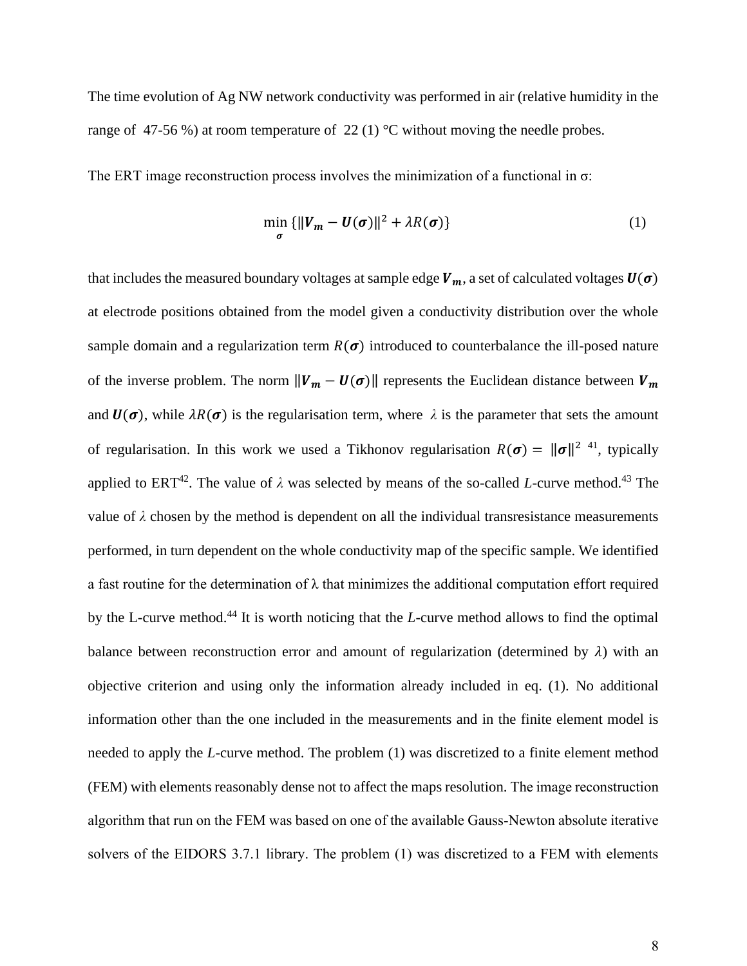The time evolution of Ag NW network conductivity was performed in air (relative humidity in the range of 47-56 %) at room temperature of 22 (1) °C without moving the needle probes.

The ERT image reconstruction process involves the minimization of a functional in  $\sigma$ :

$$
\min_{\sigma} \{ ||V_m - U(\sigma)||^2 + \lambda R(\sigma) \}
$$
 (1)

that includes the measured boundary voltages at sample edge  $V_m$ , a set of calculated voltages  $U(\sigma)$ at electrode positions obtained from the model given a conductivity distribution over the whole sample domain and a regularization term  $R(\sigma)$  introduced to counterbalance the ill-posed nature of the inverse problem. The norm  $||V_m - U(\sigma)||$  represents the Euclidean distance between  $V_m$ and  $U(\sigma)$ , while  $\lambda R(\sigma)$  is the regularisation term, where  $\lambda$  is the parameter that sets the amount of regularisation. In this work we used a Tikhonov regularisation  $R(\sigma) = ||\sigma||^{2}$  41, typically applied to ERT<sup>42</sup>. The value of  $\lambda$  was selected by means of the so-called *L*-curve method.<sup>43</sup> The value of  $\lambda$  chosen by the method is dependent on all the individual transresistance measurements performed, in turn dependent on the whole conductivity map of the specific sample. We identified a fast routine for the determination of  $\lambda$  that minimizes the additional computation effort required by the L-curve method.<sup>44</sup> It is worth noticing that the *L*-curve method allows to find the optimal balance between reconstruction error and amount of regularization (determined by  $\lambda$ ) with an objective criterion and using only the information already included in eq. (1). No additional information other than the one included in the measurements and in the finite element model is needed to apply the *L*-curve method. The problem (1) was discretized to a finite element method (FEM) with elements reasonably dense not to affect the maps resolution. The image reconstruction algorithm that run on the FEM was based on one of the available Gauss-Newton absolute iterative solvers of the EIDORS 3.7.1 library. The problem (1) was discretized to a FEM with elements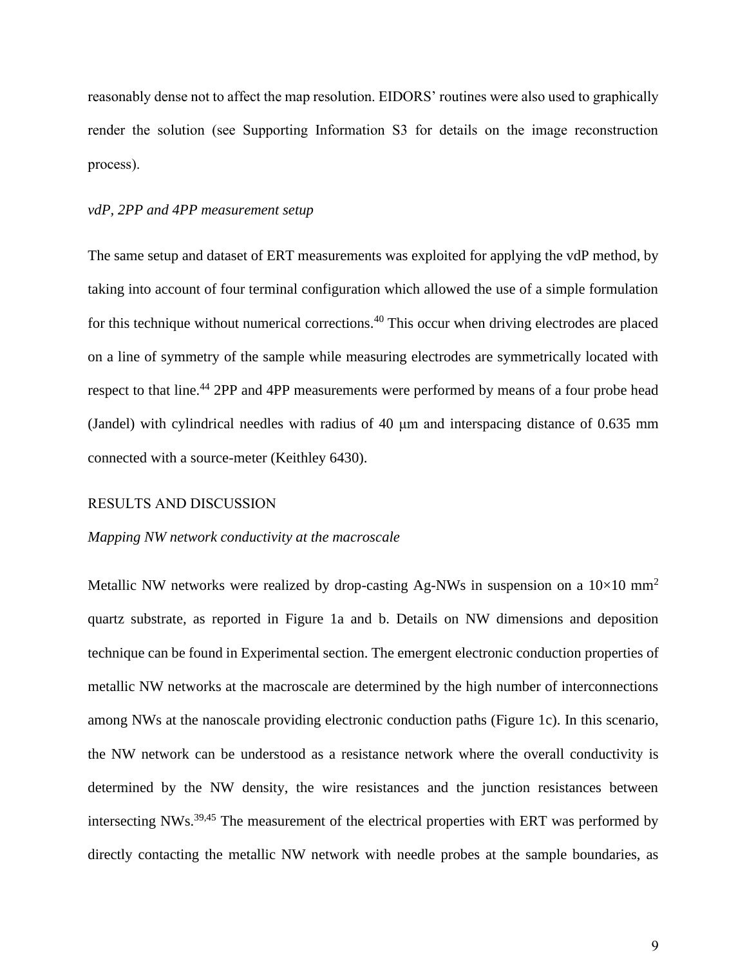reasonably dense not to affect the map resolution. EIDORS' routines were also used to graphically render the solution (see Supporting Information S3 for details on the image reconstruction process).

# *vdP, 2PP and 4PP measurement setup*

The same setup and dataset of ERT measurements was exploited for applying the vdP method, by taking into account of four terminal configuration which allowed the use of a simple formulation for this technique without numerical corrections.<sup>40</sup> This occur when driving electrodes are placed on a line of symmetry of the sample while measuring electrodes are symmetrically located with respect to that line.<sup>44</sup> 2PP and 4PP measurements were performed by means of a four probe head (Jandel) with cylindrical needles with radius of 40 μm and interspacing distance of 0.635 mm connected with a source-meter (Keithley 6430).

# RESULTS AND DISCUSSION

#### *Mapping NW network conductivity at the macroscale*

Metallic NW networks were realized by drop-casting Ag-NWs in suspension on a  $10\times10$  mm<sup>2</sup> quartz substrate, as reported in Figure 1a and b. Details on NW dimensions and deposition technique can be found in Experimental section. The emergent electronic conduction properties of metallic NW networks at the macroscale are determined by the high number of interconnections among NWs at the nanoscale providing electronic conduction paths (Figure 1c). In this scenario, the NW network can be understood as a resistance network where the overall conductivity is determined by the NW density, the wire resistances and the junction resistances between intersecting NWs.<sup>39,45</sup> The measurement of the electrical properties with ERT was performed by directly contacting the metallic NW network with needle probes at the sample boundaries, as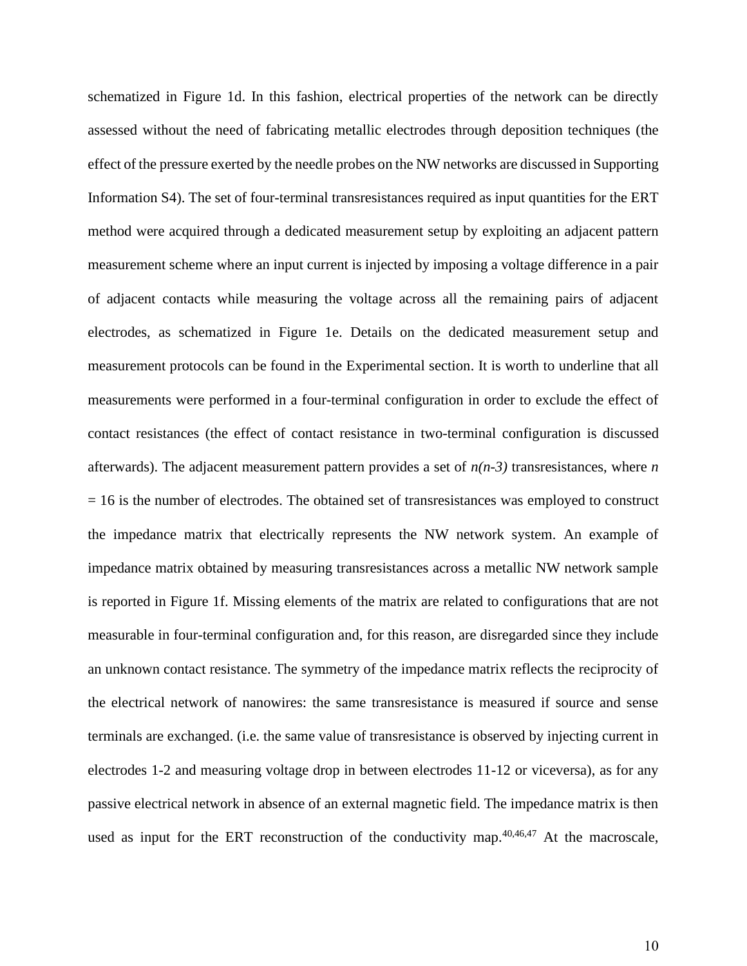schematized in Figure 1d. In this fashion, electrical properties of the network can be directly assessed without the need of fabricating metallic electrodes through deposition techniques (the effect of the pressure exerted by the needle probes on the NW networks are discussed in Supporting Information S4). The set of four-terminal transresistances required as input quantities for the ERT method were acquired through a dedicated measurement setup by exploiting an adjacent pattern measurement scheme where an input current is injected by imposing a voltage difference in a pair of adjacent contacts while measuring the voltage across all the remaining pairs of adjacent electrodes, as schematized in Figure 1e. Details on the dedicated measurement setup and measurement protocols can be found in the Experimental section. It is worth to underline that all measurements were performed in a four-terminal configuration in order to exclude the effect of contact resistances (the effect of contact resistance in two-terminal configuration is discussed afterwards). The adjacent measurement pattern provides a set of *n(n-3)* transresistances, where *n*   $= 16$  is the number of electrodes. The obtained set of transresistances was employed to construct the impedance matrix that electrically represents the NW network system. An example of impedance matrix obtained by measuring transresistances across a metallic NW network sample is reported in Figure 1f. Missing elements of the matrix are related to configurations that are not measurable in four-terminal configuration and, for this reason, are disregarded since they include an unknown contact resistance. The symmetry of the impedance matrix reflects the reciprocity of the electrical network of nanowires: the same transresistance is measured if source and sense terminals are exchanged. (i.e. the same value of transresistance is observed by injecting current in electrodes 1-2 and measuring voltage drop in between electrodes 11-12 or viceversa), as for any passive electrical network in absence of an external magnetic field. The impedance matrix is then used as input for the ERT reconstruction of the conductivity map. $40,46,47$  At the macroscale,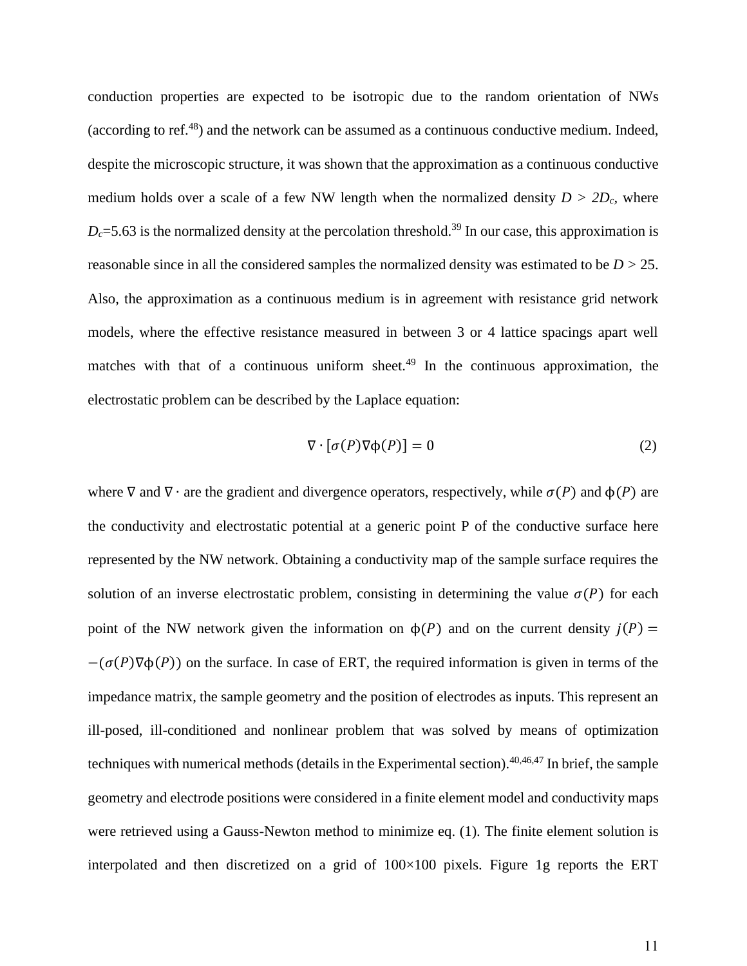conduction properties are expected to be isotropic due to the random orientation of NWs (according to ref. $^{48}$ ) and the network can be assumed as a continuous conductive medium. Indeed, despite the microscopic structure, it was shown that the approximation as a continuous conductive medium holds over a scale of a few NW length when the normalized density  $D > 2D_c$ , where  $D_c$ =5.63 is the normalized density at the percolation threshold.<sup>39</sup> In our case, this approximation is reasonable since in all the considered samples the normalized density was estimated to be *D >* 25. Also, the approximation as a continuous medium is in agreement with resistance grid network models, where the effective resistance measured in between 3 or 4 lattice spacings apart well matches with that of a continuous uniform sheet.<sup>49</sup> In the continuous approximation, the electrostatic problem can be described by the Laplace equation:

$$
\nabla \cdot [\sigma(P)\nabla \phi(P)] = 0 \tag{2}
$$

where  $\nabla$  and  $\nabla \cdot$  are the gradient and divergence operators, respectively, while  $\sigma(P)$  and  $\phi(P)$  are the conductivity and electrostatic potential at a generic point P of the conductive surface here represented by the NW network. Obtaining a conductivity map of the sample surface requires the solution of an inverse electrostatic problem, consisting in determining the value  $\sigma(P)$  for each point of the NW network given the information on  $\phi(P)$  and on the current density  $j(P)$  =  $-(\sigma(P)\nabla\phi(P))$  on the surface. In case of ERT, the required information is given in terms of the impedance matrix, the sample geometry and the position of electrodes as inputs. This represent an ill-posed, ill-conditioned and nonlinear problem that was solved by means of optimization techniques with numerical methods (details in the Experimental section).  $40,46,47$  In brief, the sample geometry and electrode positions were considered in a finite element model and conductivity maps were retrieved using a Gauss-Newton method to minimize eq. (1). The finite element solution is interpolated and then discretized on a grid of 100×100 pixels. Figure 1g reports the ERT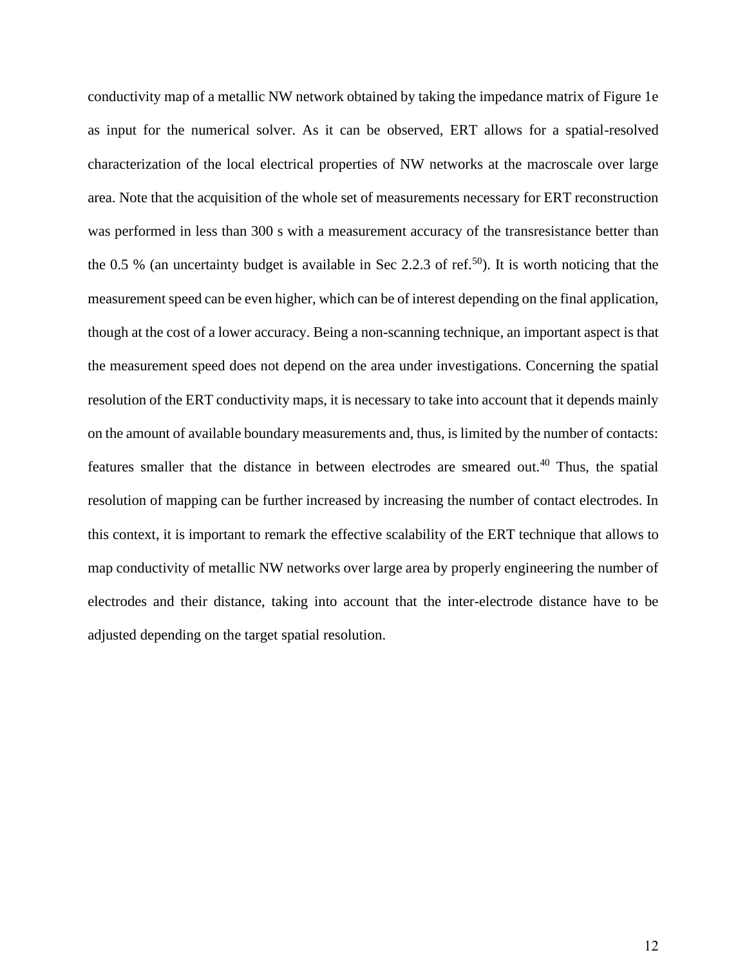conductivity map of a metallic NW network obtained by taking the impedance matrix of Figure 1e as input for the numerical solver. As it can be observed, ERT allows for a spatial-resolved characterization of the local electrical properties of NW networks at the macroscale over large area. Note that the acquisition of the whole set of measurements necessary for ERT reconstruction was performed in less than 300 s with a measurement accuracy of the transresistance better than the 0.5 % (an uncertainty budget is available in Sec 2.2.3 of ref.<sup>50</sup>). It is worth noticing that the measurement speed can be even higher, which can be of interest depending on the final application, though at the cost of a lower accuracy. Being a non-scanning technique, an important aspect is that the measurement speed does not depend on the area under investigations. Concerning the spatial resolution of the ERT conductivity maps, it is necessary to take into account that it depends mainly on the amount of available boundary measurements and, thus, is limited by the number of contacts: features smaller that the distance in between electrodes are smeared out.<sup>40</sup> Thus, the spatial resolution of mapping can be further increased by increasing the number of contact electrodes. In this context, it is important to remark the effective scalability of the ERT technique that allows to map conductivity of metallic NW networks over large area by properly engineering the number of electrodes and their distance, taking into account that the inter-electrode distance have to be adjusted depending on the target spatial resolution.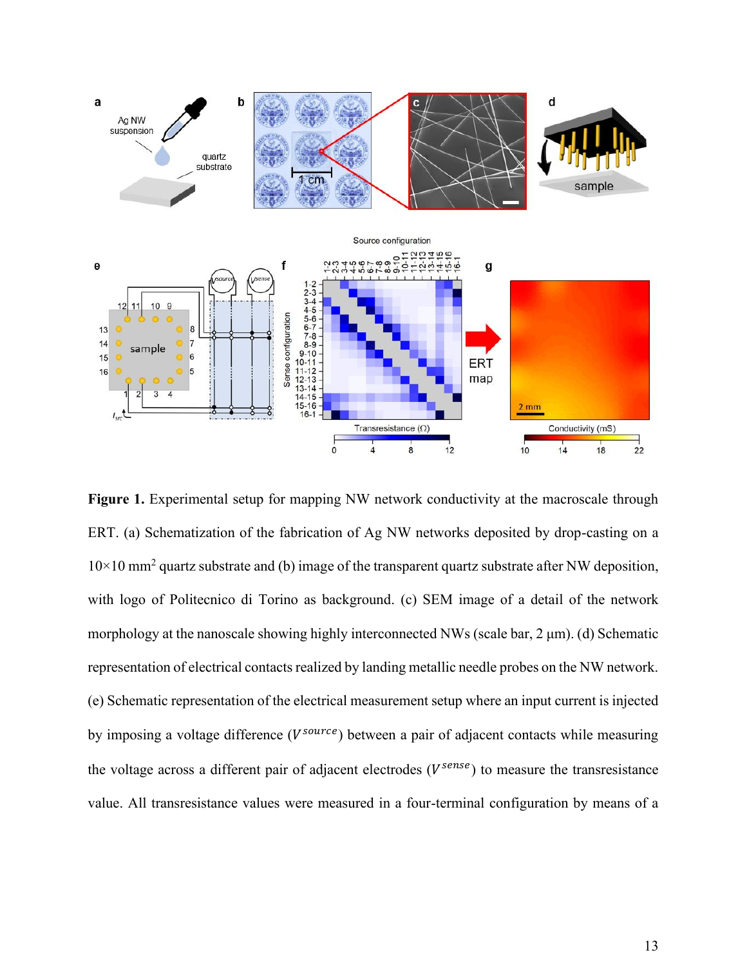

Figure 1. Experimental setup for mapping NW network conductivity at the macroscale through ERT. (a) Schematization of the fabrication of Ag NW networks deposited by drop-casting on a  $10\times10$  mm<sup>2</sup> quartz substrate and (b) image of the transparent quartz substrate after NW deposition, with logo of Politecnico di Torino as background. (c) SEM image of a detail of the network morphology at the nanoscale showing highly interconnected NWs (scale bar, 2 μm). (d) Schematic representation of electrical contacts realized by landing metallic needle probes on the NW network. (e) Schematic representation of the electrical measurement setup where an input current is injected by imposing a voltage difference (V<sup>source</sup>) between a pair of adjacent contacts while measuring the voltage across a different pair of adjacent electrodes  $(V^{sense})$  to measure the transresistance value. All transresistance values were measured in a four-terminal configuration by means of a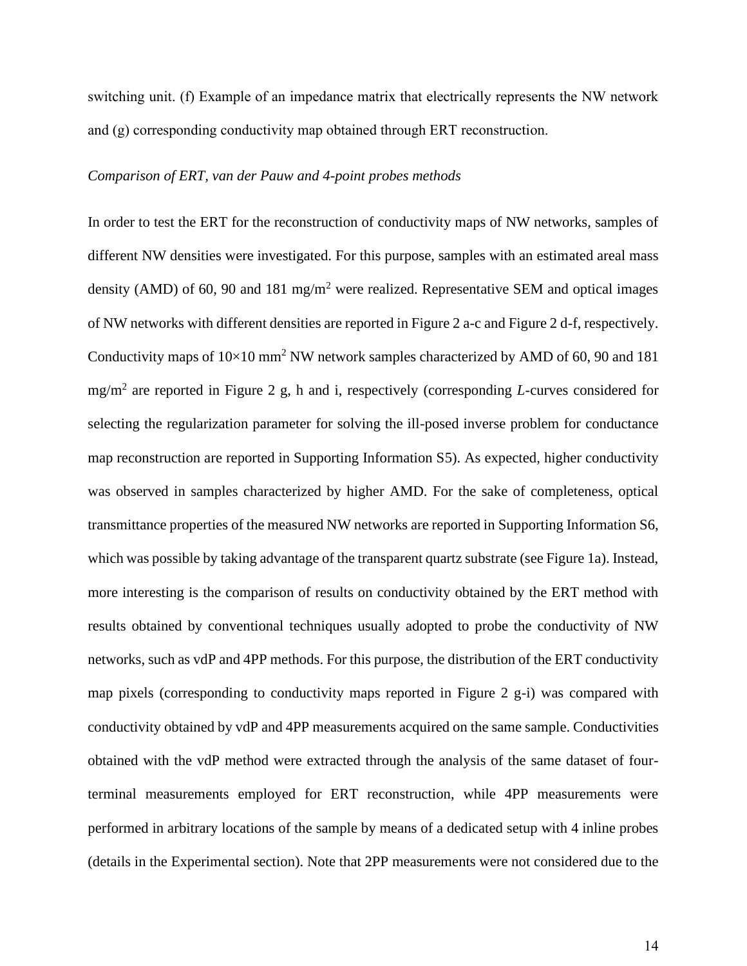switching unit. (f) Example of an impedance matrix that electrically represents the NW network and (g) corresponding conductivity map obtained through ERT reconstruction.

#### *Comparison of ERT, van der Pauw and 4-point probes methods*

In order to test the ERT for the reconstruction of conductivity maps of NW networks, samples of different NW densities were investigated. For this purpose, samples with an estimated areal mass density (AMD) of 60, 90 and 181 mg/m<sup>2</sup> were realized. Representative SEM and optical images of NW networks with different densities are reported in Figure 2 a-c and Figure 2 d-f, respectively. Conductivity maps of  $10\times10$  mm<sup>2</sup> NW network samples characterized by AMD of 60, 90 and 181 mg/m<sup>2</sup> are reported in Figure 2 g, h and i, respectively (corresponding *L-*curves considered for selecting the regularization parameter for solving the ill-posed inverse problem for conductance map reconstruction are reported in Supporting Information S5). As expected, higher conductivity was observed in samples characterized by higher AMD. For the sake of completeness, optical transmittance properties of the measured NW networks are reported in Supporting Information S6, which was possible by taking advantage of the transparent quartz substrate (see Figure 1a). Instead, more interesting is the comparison of results on conductivity obtained by the ERT method with results obtained by conventional techniques usually adopted to probe the conductivity of NW networks, such as vdP and 4PP methods. For this purpose, the distribution of the ERT conductivity map pixels (corresponding to conductivity maps reported in Figure 2 g-i) was compared with conductivity obtained by vdP and 4PP measurements acquired on the same sample. Conductivities obtained with the vdP method were extracted through the analysis of the same dataset of fourterminal measurements employed for ERT reconstruction, while 4PP measurements were performed in arbitrary locations of the sample by means of a dedicated setup with 4 inline probes (details in the Experimental section). Note that 2PP measurements were not considered due to the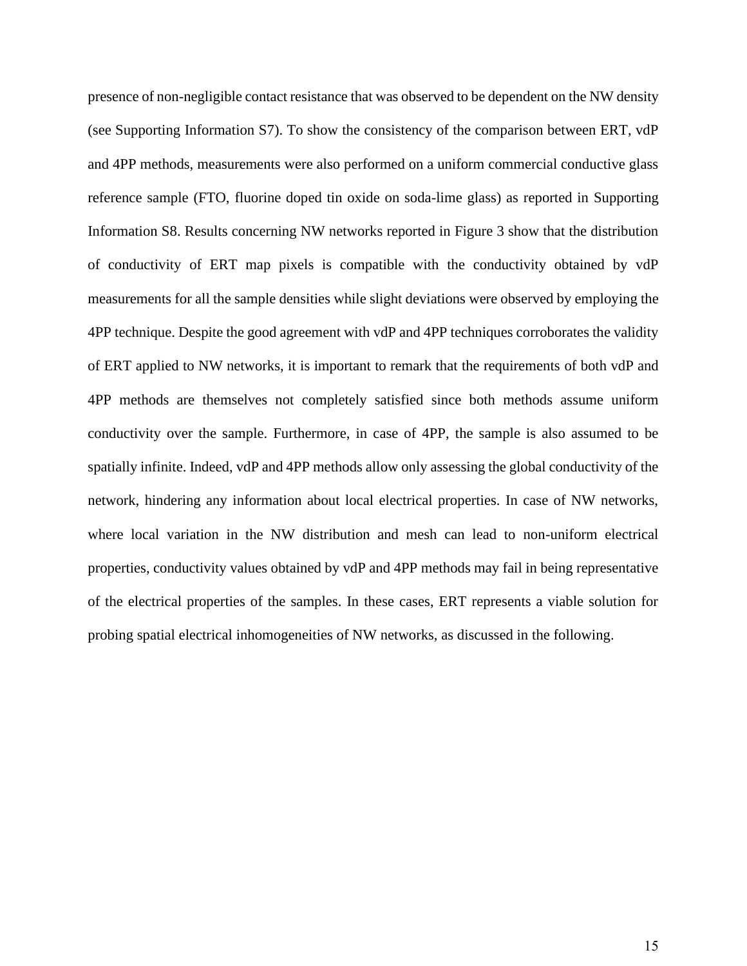presence of non-negligible contact resistance that was observed to be dependent on the NW density (see Supporting Information S7). To show the consistency of the comparison between ERT, vdP and 4PP methods, measurements were also performed on a uniform commercial conductive glass reference sample (FTO, fluorine doped tin oxide on soda-lime glass) as reported in Supporting Information S8. Results concerning NW networks reported in Figure 3 show that the distribution of conductivity of ERT map pixels is compatible with the conductivity obtained by vdP measurements for all the sample densities while slight deviations were observed by employing the 4PP technique. Despite the good agreement with vdP and 4PP techniques corroborates the validity of ERT applied to NW networks, it is important to remark that the requirements of both vdP and 4PP methods are themselves not completely satisfied since both methods assume uniform conductivity over the sample. Furthermore, in case of 4PP, the sample is also assumed to be spatially infinite. Indeed, vdP and 4PP methods allow only assessing the global conductivity of the network, hindering any information about local electrical properties. In case of NW networks, where local variation in the NW distribution and mesh can lead to non-uniform electrical properties, conductivity values obtained by vdP and 4PP methods may fail in being representative of the electrical properties of the samples. In these cases, ERT represents a viable solution for probing spatial electrical inhomogeneities of NW networks, as discussed in the following.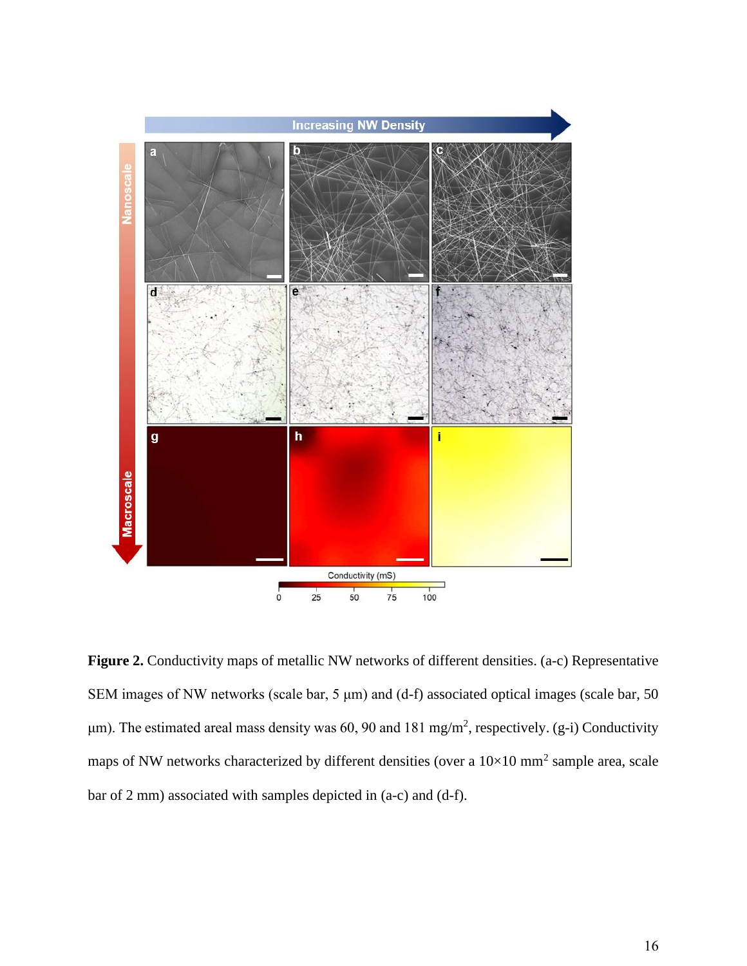

**Figure 2.** Conductivity maps of metallic NW networks of different densities. (a-c) Representative SEM images of NW networks (scale bar, 5 μm) and (d-f) associated optical images (scale bar, 50  $\mu$ m). The estimated areal mass density was 60, 90 and 181 mg/m<sup>2</sup>, respectively. (g-i) Conductivity maps of NW networks characterized by different densities (over a  $10\times10$  mm<sup>2</sup> sample area, scale bar of 2 mm) associated with samples depicted in (a-c) and (d-f).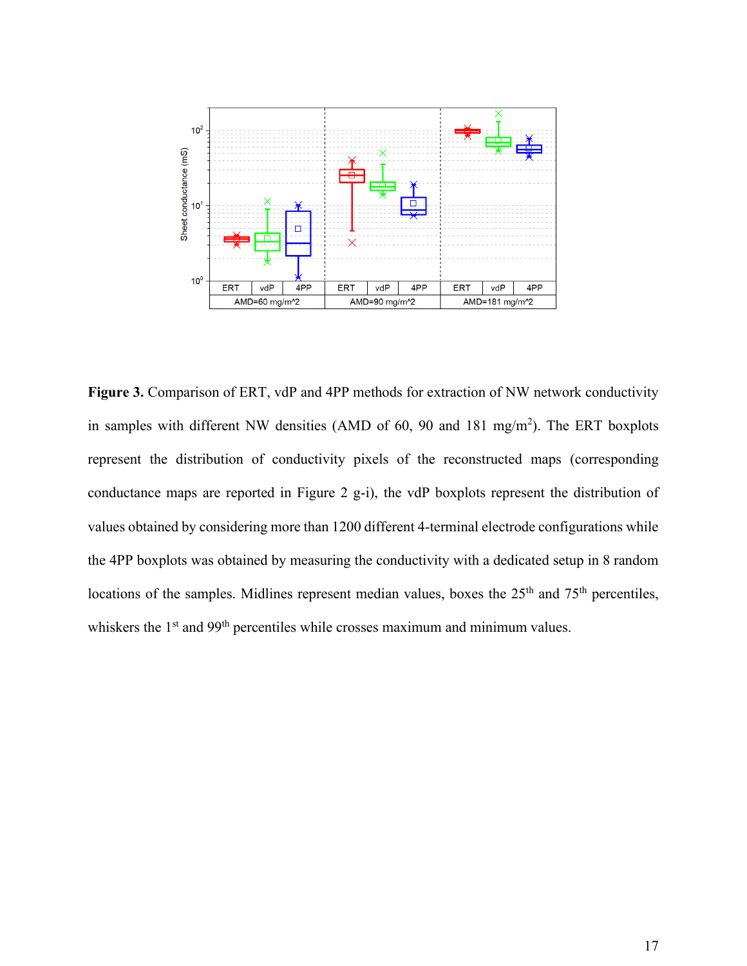

Figure 3. Comparison of ERT, vdP and 4PP methods for extraction of NW network conductivity in samples with different NW densities (AMD of 60, 90 and 181 mg/m<sup>2</sup>). The ERT boxplots represent the distribution of conductivity pixels of the reconstructed maps (corresponding conductance maps are reported in Figure 2 g-i), the vdP boxplots represent the distribution of values obtained by considering more than 1200 different 4-terminal electrode configurations while the 4PP boxplots was obtained by measuring the conductivity with a dedicated setup in 8 random locations of the samples. Midlines represent median values, boxes the  $25<sup>th</sup>$  and  $75<sup>th</sup>$  percentiles, whiskers the  $1<sup>st</sup>$  and 99<sup>th</sup> percentiles while crosses maximum and minimum values.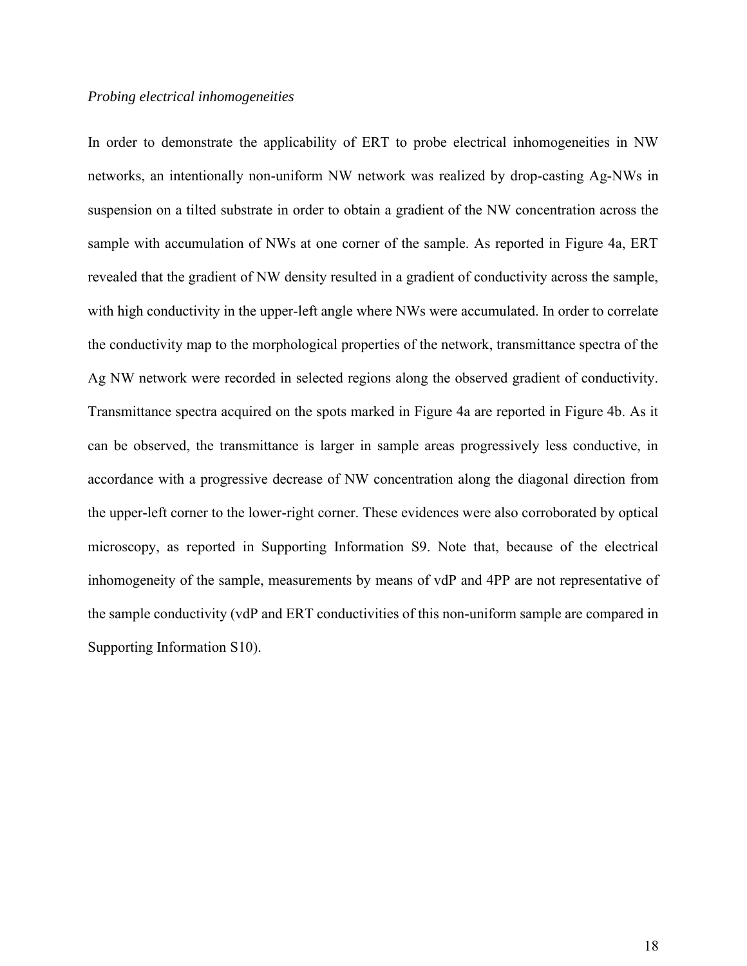# *Probing electrical inhomogeneities*

In order to demonstrate the applicability of ERT to probe electrical inhomogeneities in NW networks, an intentionally non-uniform NW network was realized by drop-casting Ag-NWs in suspension on a tilted substrate in order to obtain a gradient of the NW concentration across the sample with accumulation of NWs at one corner of the sample. As reported in Figure 4a, ERT revealed that the gradient of NW density resulted in a gradient of conductivity across the sample, with high conductivity in the upper-left angle where NWs were accumulated. In order to correlate the conductivity map to the morphological properties of the network, transmittance spectra of the Ag NW network were recorded in selected regions along the observed gradient of conductivity. Transmittance spectra acquired on the spots marked in Figure 4a are reported in Figure 4b. As it can be observed, the transmittance is larger in sample areas progressively less conductive, in accordance with a progressive decrease of NW concentration along the diagonal direction from the upper-left corner to the lower-right corner. These evidences were also corroborated by optical microscopy, as reported in Supporting Information S9. Note that, because of the electrical inhomogeneity of the sample, measurements by means of vdP and 4PP are not representative of the sample conductivity (vdP and ERT conductivities of this non-uniform sample are compared in Supporting Information S10).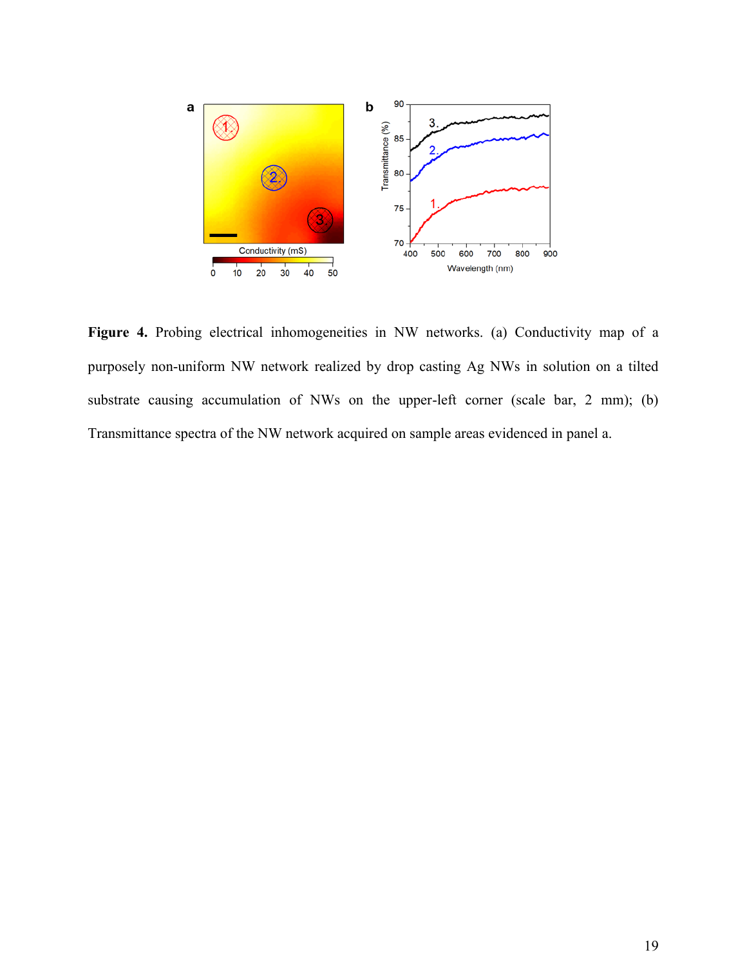

Figure 4. Probing electrical inhomogeneities in NW networks. (a) Conductivity map of a purposely non-uniform NW network realized by drop casting Ag NWs in solution on a tilted substrate causing accumulation of NWs on the upper-left corner (scale bar, 2 mm); (b) Transmittance spectra of the NW network acquired on sample areas evidenced in panel a.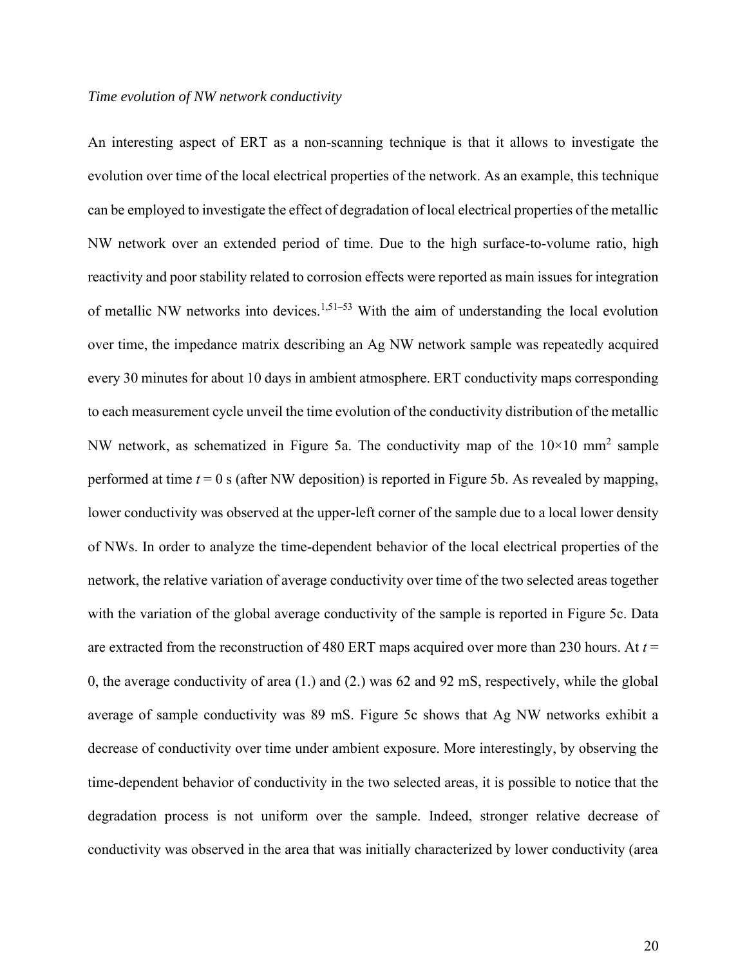#### *Time evolution of NW network conductivity*

An interesting aspect of ERT as a non-scanning technique is that it allows to investigate the evolution over time of the local electrical properties of the network. As an example, this technique can be employed to investigate the effect of degradation of local electrical properties of the metallic NW network over an extended period of time. Due to the high surface-to-volume ratio, high reactivity and poor stability related to corrosion effects were reported as main issues for integration of metallic NW networks into devices.<sup>1,51–53</sup> With the aim of understanding the local evolution over time, the impedance matrix describing an Ag NW network sample was repeatedly acquired every 30 minutes for about 10 days in ambient atmosphere. ERT conductivity maps corresponding to each measurement cycle unveil the time evolution of the conductivity distribution of the metallic NW network, as schematized in Figure 5a. The conductivity map of the  $10\times10$  mm<sup>2</sup> sample performed at time  $t = 0$  s (after NW deposition) is reported in Figure 5b. As revealed by mapping, lower conductivity was observed at the upper-left corner of the sample due to a local lower density of NWs. In order to analyze the time-dependent behavior of the local electrical properties of the network, the relative variation of average conductivity over time of the two selected areas together with the variation of the global average conductivity of the sample is reported in Figure 5c. Data are extracted from the reconstruction of 480 ERT maps acquired over more than 230 hours. At *t* = 0, the average conductivity of area (1.) and (2.) was 62 and 92 mS, respectively, while the global average of sample conductivity was 89 mS. Figure 5c shows that Ag NW networks exhibit a decrease of conductivity over time under ambient exposure. More interestingly, by observing the time-dependent behavior of conductivity in the two selected areas, it is possible to notice that the degradation process is not uniform over the sample. Indeed, stronger relative decrease of conductivity was observed in the area that was initially characterized by lower conductivity (area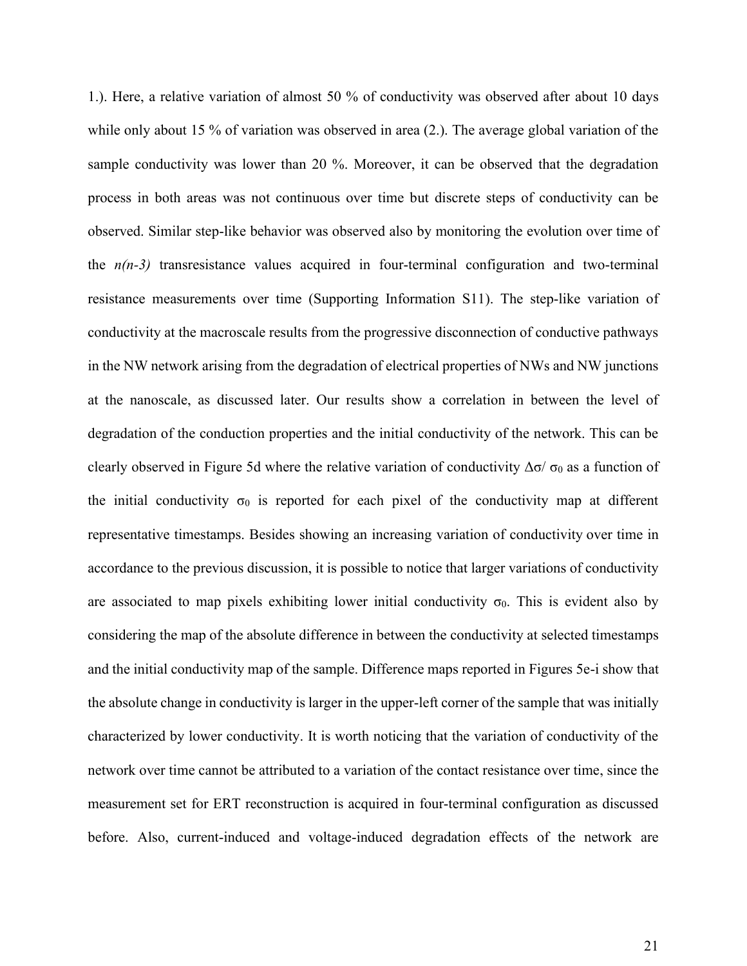1.). Here, a relative variation of almost 50 % of conductivity was observed after about 10 days while only about 15 % of variation was observed in area (2.). The average global variation of the sample conductivity was lower than 20 %. Moreover, it can be observed that the degradation process in both areas was not continuous over time but discrete steps of conductivity can be observed. Similar step-like behavior was observed also by monitoring the evolution over time of the  $n(n-3)$  transresistance values acquired in four-terminal configuration and two-terminal resistance measurements over time (Supporting Information S11). The step-like variation of conductivity at the macroscale results from the progressive disconnection of conductive pathways in the NW network arising from the degradation of electrical properties of NWs and NW junctions at the nanoscale, as discussed later. Our results show a correlation in between the level of degradation of the conduction properties and the initial conductivity of the network. This can be clearly observed in Figure 5d where the relative variation of conductivity  $\Delta \sigma / \sigma_0$  as a function of the initial conductivity  $\sigma_0$  is reported for each pixel of the conductivity map at different representative timestamps. Besides showing an increasing variation of conductivity over time in accordance to the previous discussion, it is possible to notice that larger variations of conductivity are associated to map pixels exhibiting lower initial conductivity  $\sigma_0$ . This is evident also by considering the map of the absolute difference in between the conductivity at selected timestamps and the initial conductivity map of the sample. Difference maps reported in Figures 5e-i show that the absolute change in conductivity is larger in the upper-left corner of the sample that was initially characterized by lower conductivity. It is worth noticing that the variation of conductivity of the network over time cannot be attributed to a variation of the contact resistance over time, since the measurement set for ERT reconstruction is acquired in four-terminal configuration as discussed before. Also, current-induced and voltage-induced degradation effects of the network are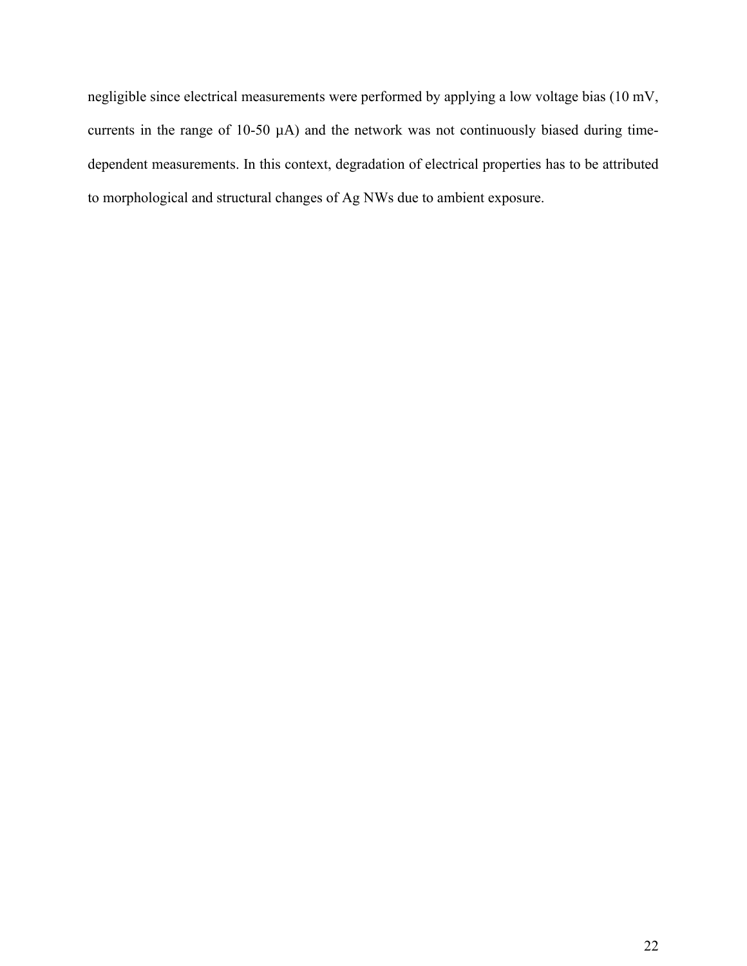negligible since electrical measurements were performed by applying a low voltage bias (10 mV, currents in the range of 10-50 µA) and the network was not continuously biased during timedependent measurements. In this context, degradation of electrical properties has to be attributed to morphological and structural changes of Ag NWs due to ambient exposure.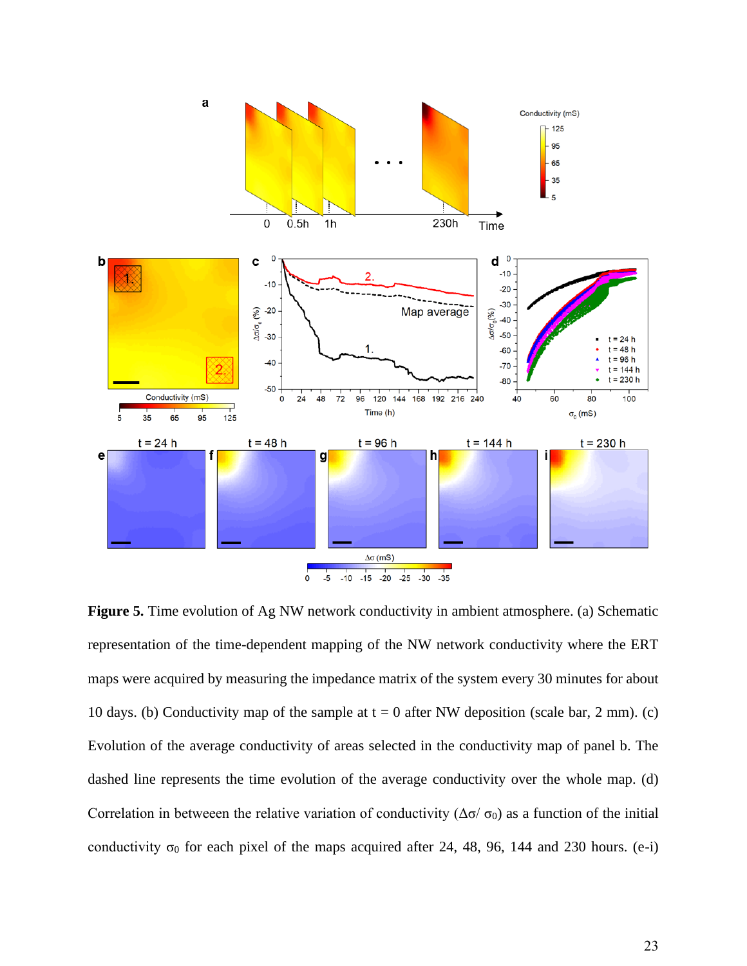

**Figure 5.** Time evolution of Ag NW network conductivity in ambient atmosphere. (a) Schematic representation of the time-dependent mapping of the NW network conductivity where the ERT maps were acquired by measuring the impedance matrix of the system every 30 minutes for about 10 days. (b) Conductivity map of the sample at  $t = 0$  after NW deposition (scale bar, 2 mm). (c) Evolution of the average conductivity of areas selected in the conductivity map of panel b. The dashed line represents the time evolution of the average conductivity over the whole map. (d) Correlation in betweeen the relative variation of conductivity ( $\Delta \sigma / \sigma_0$ ) as a function of the initial conductivity  $\sigma_0$  for each pixel of the maps acquired after 24, 48, 96, 144 and 230 hours. (e-i)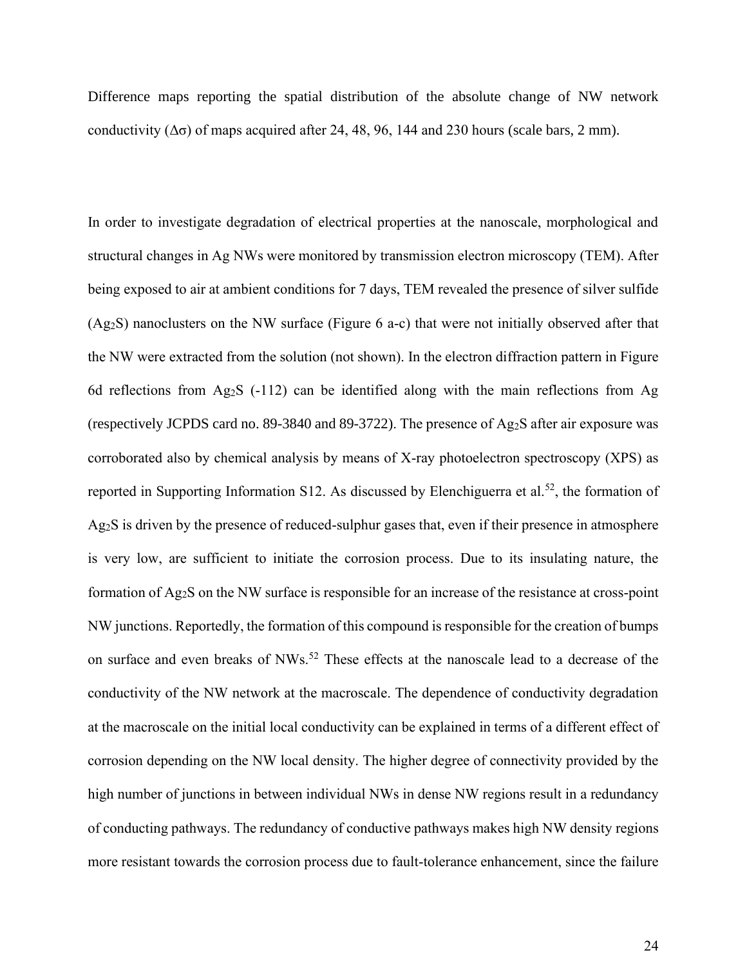Difference maps reporting the spatial distribution of the absolute change of NW network conductivity  $(\Delta \sigma)$  of maps acquired after 24, 48, 96, 144 and 230 hours (scale bars, 2 mm).

In order to investigate degradation of electrical properties at the nanoscale, morphological and structural changes in Ag NWs were monitored by transmission electron microscopy (TEM). After being exposed to air at ambient conditions for 7 days, TEM revealed the presence of silver sulfide (Ag2S) nanoclusters on the NW surface (Figure 6 a-c) that were not initially observed after that the NW were extracted from the solution (not shown). In the electron diffraction pattern in Figure 6d reflections from Ag<sub>2</sub>S (-112) can be identified along with the main reflections from Ag (respectively JCPDS card no. 89-3840 and 89-3722). The presence of Ag2S after air exposure was corroborated also by chemical analysis by means of X-ray photoelectron spectroscopy (XPS) as reported in Supporting Information S12. As discussed by Elenchiguerra et al.<sup>52</sup>, the formation of Ag2S is driven by the presence of reduced-sulphur gases that, even if their presence in atmosphere is very low, are sufficient to initiate the corrosion process. Due to its insulating nature, the formation of Ag2S on the NW surface is responsible for an increase of the resistance at cross-point NW junctions. Reportedly, the formation of this compound is responsible for the creation of bumps on surface and even breaks of NWs.<sup>52</sup> These effects at the nanoscale lead to a decrease of the conductivity of the NW network at the macroscale. The dependence of conductivity degradation at the macroscale on the initial local conductivity can be explained in terms of a different effect of corrosion depending on the NW local density. The higher degree of connectivity provided by the high number of junctions in between individual NWs in dense NW regions result in a redundancy of conducting pathways. The redundancy of conductive pathways makes high NW density regions more resistant towards the corrosion process due to fault-tolerance enhancement, since the failure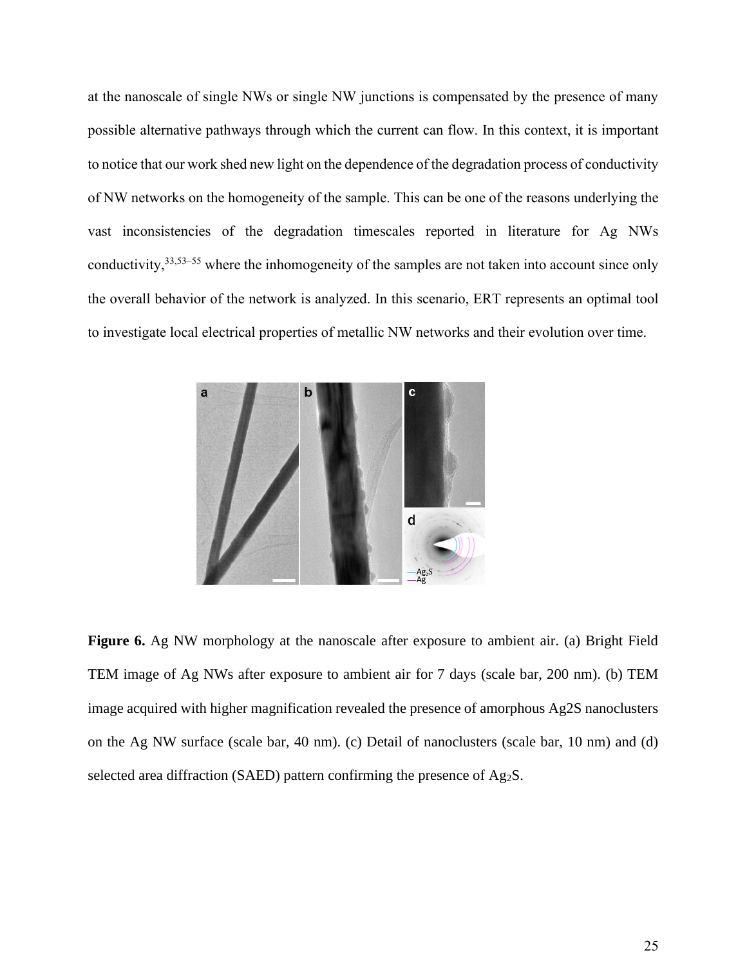at the nanoscale of single NWs or single NW junctions is compensated by the presence of many possible alternative pathways through which the current can flow. In this context, it is important to notice that our work shed new light on the dependence of the degradation process of conductivity of NW networks on the homogeneity of the sample. This can be one of the reasons underlying the vast inconsistencies of the degradation timescales reported in literature for Ag NWs conductivity,<sup>33,53–55</sup> where the inhomogeneity of the samples are not taken into account since only the overall behavior of the network is analyzed. In this scenario, ERT represents an optimal tool to investigate local electrical properties of metallic NW networks and their evolution over time.



**Figure 6.** Ag NW morphology at the nanoscale after exposure to ambient air. (a) Bright Field TEM image of Ag NWs after exposure to ambient air for 7 days (scale bar, 200 nm). (b) TEM image acquired with higher magnification revealed the presence of amorphous Ag2S nanoclusters on the Ag NW surface (scale bar, 40 nm). (c) Detail of nanoclusters (scale bar, 10 nm) and (d) selected area diffraction (SAED) pattern confirming the presence of Ag<sub>2</sub>S.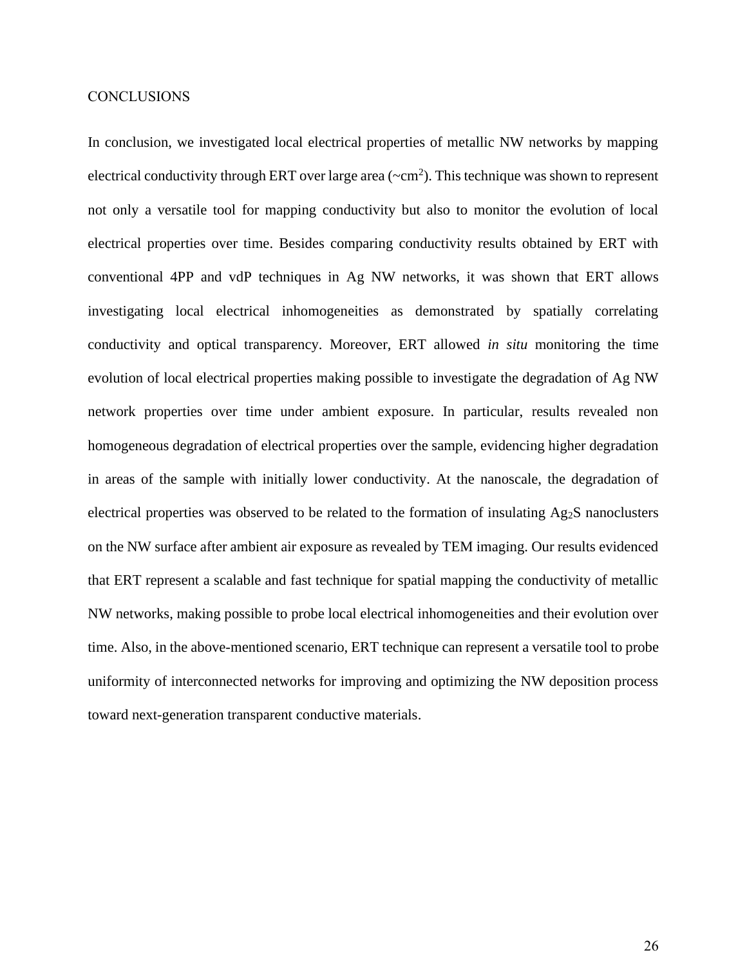## **CONCLUSIONS**

In conclusion, we investigated local electrical properties of metallic NW networks by mapping electrical conductivity through ERT over large area ( $\sim$ cm<sup>2</sup>). This technique was shown to represent not only a versatile tool for mapping conductivity but also to monitor the evolution of local electrical properties over time. Besides comparing conductivity results obtained by ERT with conventional 4PP and vdP techniques in Ag NW networks, it was shown that ERT allows investigating local electrical inhomogeneities as demonstrated by spatially correlating conductivity and optical transparency. Moreover, ERT allowed *in situ* monitoring the time evolution of local electrical properties making possible to investigate the degradation of Ag NW network properties over time under ambient exposure. In particular, results revealed non homogeneous degradation of electrical properties over the sample, evidencing higher degradation in areas of the sample with initially lower conductivity. At the nanoscale, the degradation of electrical properties was observed to be related to the formation of insulating Ag2S nanoclusters on the NW surface after ambient air exposure as revealed by TEM imaging. Our results evidenced that ERT represent a scalable and fast technique for spatial mapping the conductivity of metallic NW networks, making possible to probe local electrical inhomogeneities and their evolution over time. Also, in the above-mentioned scenario, ERT technique can represent a versatile tool to probe uniformity of interconnected networks for improving and optimizing the NW deposition process toward next-generation transparent conductive materials.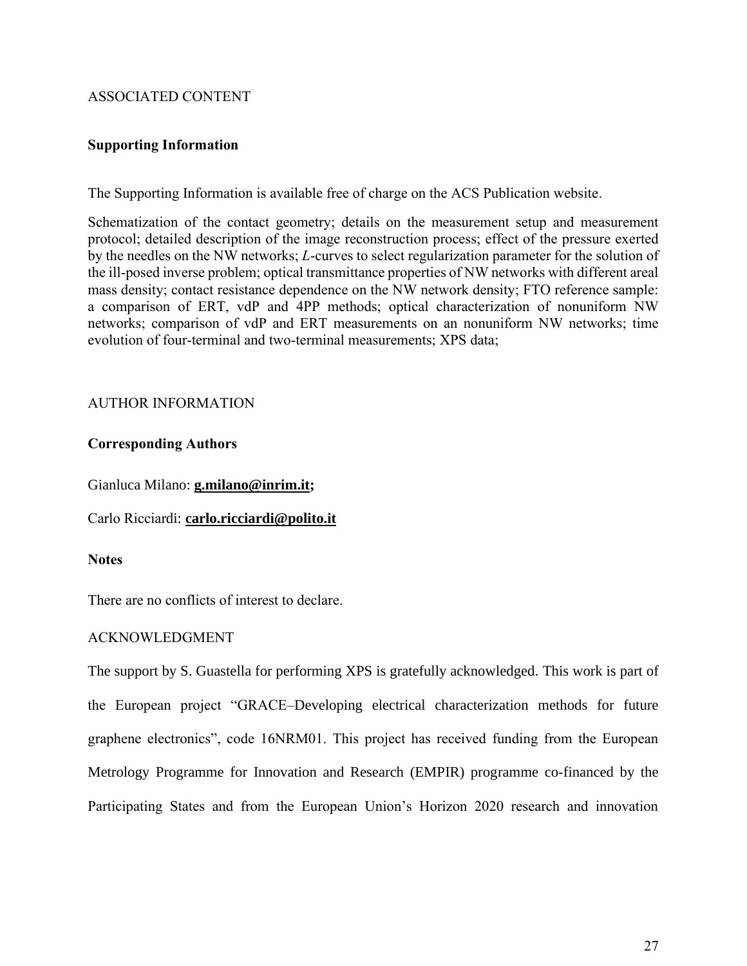# ASSOCIATED CONTENT

# **Supporting Information**

The Supporting Information is available free of charge on the ACS Publication website.

Schematization of the contact geometry; details on the measurement setup and measurement protocol; detailed description of the image reconstruction process; effect of the pressure exerted by the needles on the NW networks; *L*-curves to select regularization parameter for the solution of the ill-posed inverse problem; optical transmittance properties of NW networks with different areal mass density; contact resistance dependence on the NW network density; FTO reference sample: a comparison of ERT, vdP and 4PP methods; optical characterization of nonuniform NW networks; comparison of vdP and ERT measurements on an nonuniform NW networks; time evolution of four-terminal and two-terminal measurements; XPS data;

# AUTHOR INFORMATION

# **Corresponding Authors**

Gianluca Milano: **[g.milano@i](mailto:g.milano@)nrim.it;** 

Carlo Ricciardi: **[carlo.ricciardi@polito.it](mailto:carlo.ricciardi@polito.it)**

# **Notes**

There are no conflicts of interest to declare.

# ACKNOWLEDGMENT

The support by S. Guastella for performing XPS is gratefully acknowledged. This work is part of the European project "GRACE–Developing electrical characterization methods for future graphene electronics", code 16NRM01. This project has received funding from the European Metrology Programme for Innovation and Research (EMPIR) programme co-financed by the Participating States and from the European Union's Horizon 2020 research and innovation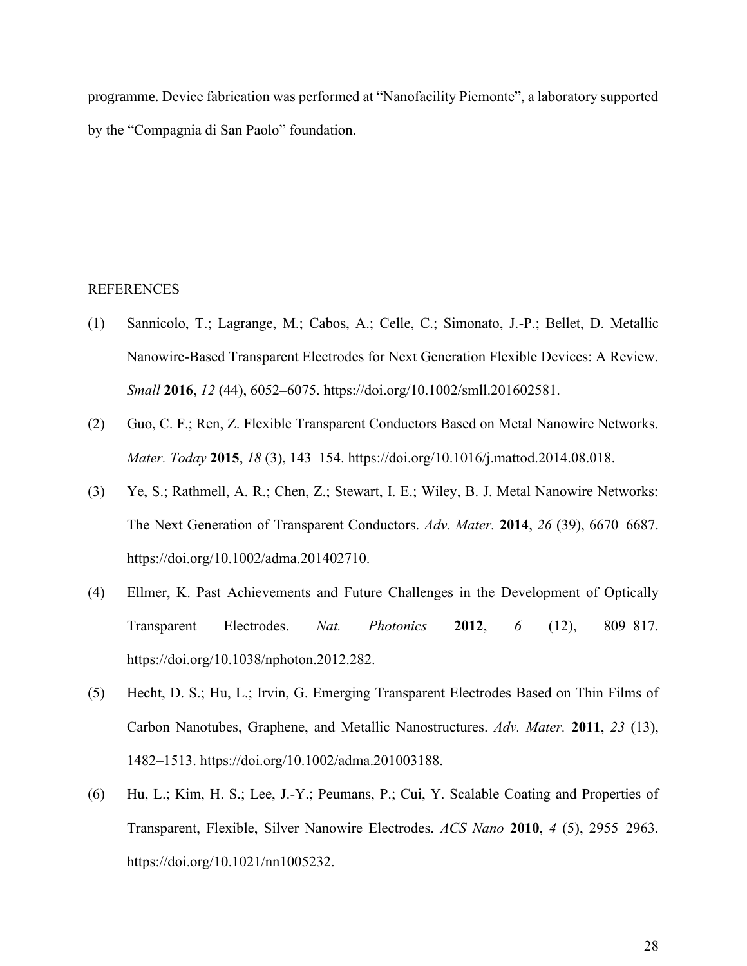programme. Device fabrication was performed at "Nanofacility Piemonte", a laboratory supported by the "Compagnia di San Paolo" foundation.

# REFERENCES

- (1) Sannicolo, T.; Lagrange, M.; Cabos, A.; Celle, C.; Simonato, J.-P.; Bellet, D. Metallic Nanowire-Based Transparent Electrodes for Next Generation Flexible Devices: A Review. *Small* **2016**, *12* (44), 6052–6075. https://doi.org/10.1002/smll.201602581.
- (2) Guo, C. F.; Ren, Z. Flexible Transparent Conductors Based on Metal Nanowire Networks. *Mater. Today* **2015**, *18* (3), 143–154. https://doi.org/10.1016/j.mattod.2014.08.018.
- (3) Ye, S.; Rathmell, A. R.; Chen, Z.; Stewart, I. E.; Wiley, B. J. Metal Nanowire Networks: The Next Generation of Transparent Conductors. *Adv. Mater.* **2014**, *26* (39), 6670–6687. https://doi.org/10.1002/adma.201402710.
- (4) Ellmer, K. Past Achievements and Future Challenges in the Development of Optically Transparent Electrodes. *Nat. Photonics* **2012**, *6* (12), 809–817. https://doi.org/10.1038/nphoton.2012.282.
- (5) Hecht, D. S.; Hu, L.; Irvin, G. Emerging Transparent Electrodes Based on Thin Films of Carbon Nanotubes, Graphene, and Metallic Nanostructures. *Adv. Mater.* **2011**, *23* (13), 1482–1513. https://doi.org/10.1002/adma.201003188.
- (6) Hu, L.; Kim, H. S.; Lee, J.-Y.; Peumans, P.; Cui, Y. Scalable Coating and Properties of Transparent, Flexible, Silver Nanowire Electrodes. *ACS Nano* **2010**, *4* (5), 2955–2963. https://doi.org/10.1021/nn1005232.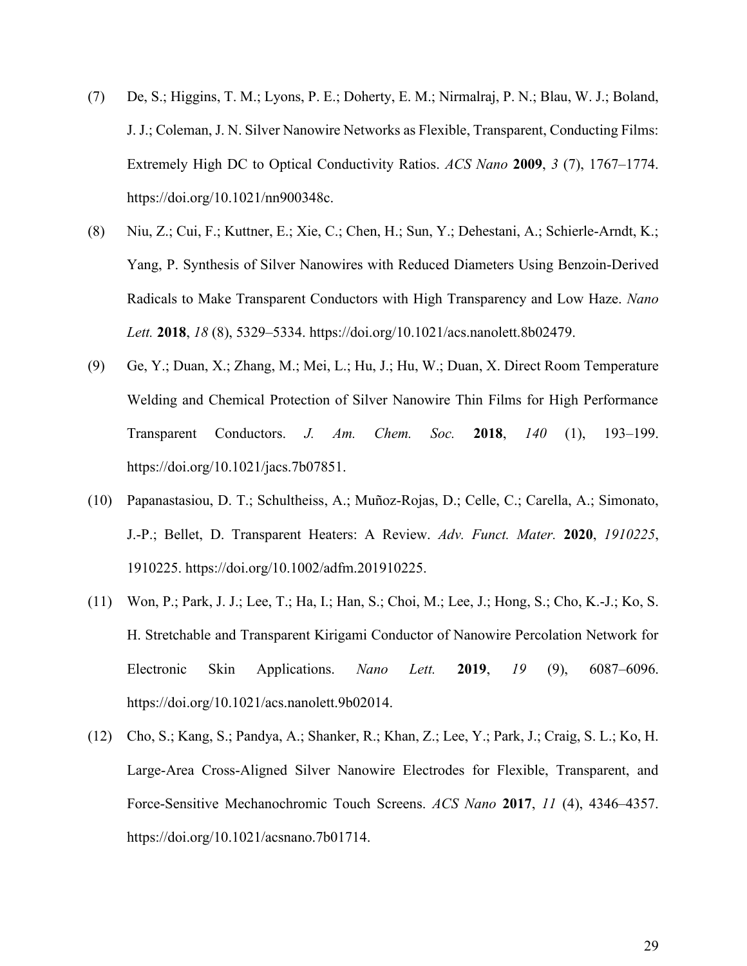- (7) De, S.; Higgins, T. M.; Lyons, P. E.; Doherty, E. M.; Nirmalraj, P. N.; Blau, W. J.; Boland, J. J.; Coleman, J. N. Silver Nanowire Networks as Flexible, Transparent, Conducting Films: Extremely High DC to Optical Conductivity Ratios. *ACS Nano* **2009**, *3* (7), 1767–1774. https://doi.org/10.1021/nn900348c.
- (8) Niu, Z.; Cui, F.; Kuttner, E.; Xie, C.; Chen, H.; Sun, Y.; Dehestani, A.; Schierle-Arndt, K.; Yang, P. Synthesis of Silver Nanowires with Reduced Diameters Using Benzoin-Derived Radicals to Make Transparent Conductors with High Transparency and Low Haze. *Nano Lett.* **2018**, *18* (8), 5329–5334. https://doi.org/10.1021/acs.nanolett.8b02479.
- (9) Ge, Y.; Duan, X.; Zhang, M.; Mei, L.; Hu, J.; Hu, W.; Duan, X. Direct Room Temperature Welding and Chemical Protection of Silver Nanowire Thin Films for High Performance Transparent Conductors. *J. Am. Chem. Soc.* **2018**, *140* (1), 193–199. https://doi.org/10.1021/jacs.7b07851.
- (10) Papanastasiou, D. T.; Schultheiss, A.; Muñoz-Rojas, D.; Celle, C.; Carella, A.; Simonato, J.-P.; Bellet, D. Transparent Heaters: A Review. *Adv. Funct. Mater.* **2020**, *1910225*, 1910225. https://doi.org/10.1002/adfm.201910225.
- (11) Won, P.; Park, J. J.; Lee, T.; Ha, I.; Han, S.; Choi, M.; Lee, J.; Hong, S.; Cho, K.-J.; Ko, S. H. Stretchable and Transparent Kirigami Conductor of Nanowire Percolation Network for Electronic Skin Applications. *Nano Lett.* **2019**, *19* (9), 6087–6096. https://doi.org/10.1021/acs.nanolett.9b02014.
- (12) Cho, S.; Kang, S.; Pandya, A.; Shanker, R.; Khan, Z.; Lee, Y.; Park, J.; Craig, S. L.; Ko, H. Large-Area Cross-Aligned Silver Nanowire Electrodes for Flexible, Transparent, and Force-Sensitive Mechanochromic Touch Screens. *ACS Nano* **2017**, *11* (4), 4346–4357. https://doi.org/10.1021/acsnano.7b01714.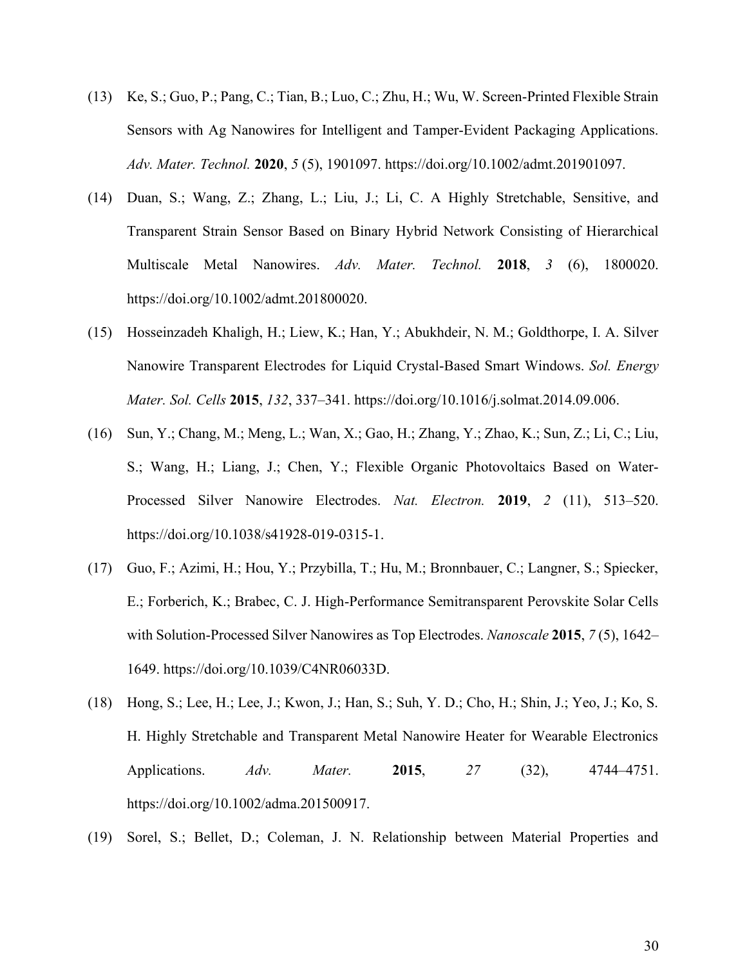- (13) Ke, S.; Guo, P.; Pang, C.; Tian, B.; Luo, C.; Zhu, H.; Wu, W. Screen‐Printed Flexible Strain Sensors with Ag Nanowires for Intelligent and Tamper‐Evident Packaging Applications. *Adv. Mater. Technol.* **2020**, *5* (5), 1901097. https://doi.org/10.1002/admt.201901097.
- (14) Duan, S.; Wang, Z.; Zhang, L.; Liu, J.; Li, C. A Highly Stretchable, Sensitive, and Transparent Strain Sensor Based on Binary Hybrid Network Consisting of Hierarchical Multiscale Metal Nanowires. *Adv. Mater. Technol.* **2018**, *3* (6), 1800020. https://doi.org/10.1002/admt.201800020.
- (15) Hosseinzadeh Khaligh, H.; Liew, K.; Han, Y.; Abukhdeir, N. M.; Goldthorpe, I. A. Silver Nanowire Transparent Electrodes for Liquid Crystal-Based Smart Windows. *Sol. Energy Mater. Sol. Cells* **2015**, *132*, 337–341. https://doi.org/10.1016/j.solmat.2014.09.006.
- (16) Sun, Y.; Chang, M.; Meng, L.; Wan, X.; Gao, H.; Zhang, Y.; Zhao, K.; Sun, Z.; Li, C.; Liu, S.; Wang, H.; Liang, J.; Chen, Y.; Flexible Organic Photovoltaics Based on Water-Processed Silver Nanowire Electrodes. *Nat. Electron.* **2019**, *2* (11), 513–520. https://doi.org/10.1038/s41928-019-0315-1.
- (17) Guo, F.; Azimi, H.; Hou, Y.; Przybilla, T.; Hu, M.; Bronnbauer, C.; Langner, S.; Spiecker, E.; Forberich, K.; Brabec, C. J. High-Performance Semitransparent Perovskite Solar Cells with Solution-Processed Silver Nanowires as Top Electrodes. *Nanoscale* **2015**, *7* (5), 1642– 1649. https://doi.org/10.1039/C4NR06033D.
- (18) Hong, S.; Lee, H.; Lee, J.; Kwon, J.; Han, S.; Suh, Y. D.; Cho, H.; Shin, J.; Yeo, J.; Ko, S. H. Highly Stretchable and Transparent Metal Nanowire Heater for Wearable Electronics Applications. *Adv. Mater.* **2015**, *27* (32), 4744–4751. https://doi.org/10.1002/adma.201500917.
- (19) Sorel, S.; Bellet, D.; Coleman, J. N. Relationship between Material Properties and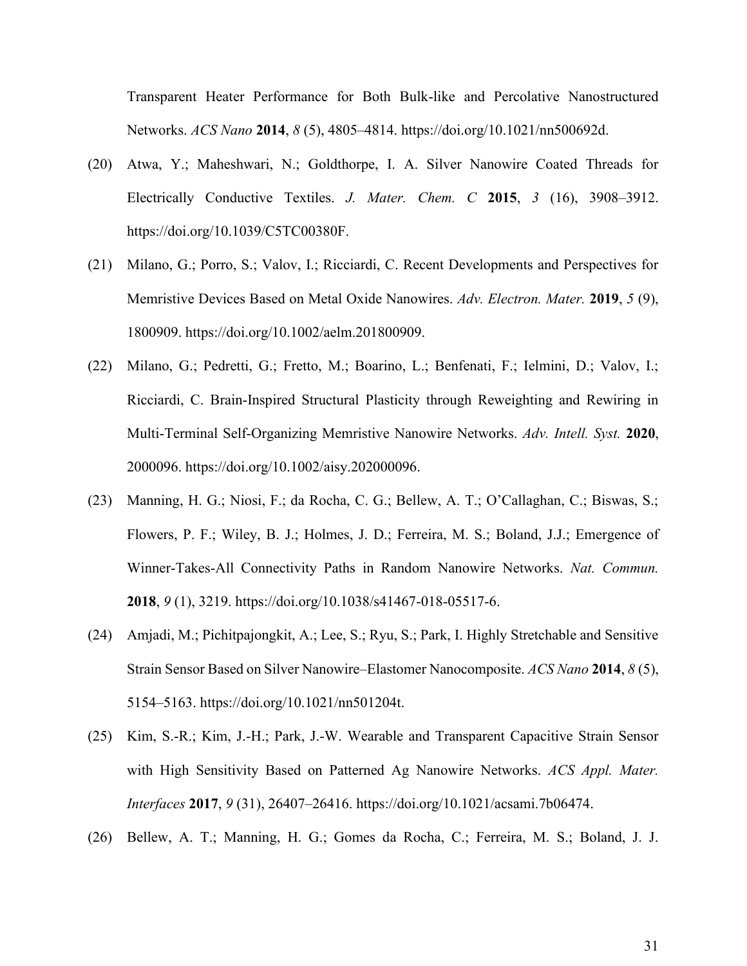Transparent Heater Performance for Both Bulk-like and Percolative Nanostructured Networks. *ACS Nano* **2014**, *8* (5), 4805–4814. https://doi.org/10.1021/nn500692d.

- (20) Atwa, Y.; Maheshwari, N.; Goldthorpe, I. A. Silver Nanowire Coated Threads for Electrically Conductive Textiles. *J. Mater. Chem. C* **2015**, *3* (16), 3908–3912. https://doi.org/10.1039/C5TC00380F.
- (21) Milano, G.; Porro, S.; Valov, I.; Ricciardi, C. Recent Developments and Perspectives for Memristive Devices Based on Metal Oxide Nanowires. *Adv. Electron. Mater.* **2019**, *5* (9), 1800909. https://doi.org/10.1002/aelm.201800909.
- (22) Milano, G.; Pedretti, G.; Fretto, M.; Boarino, L.; Benfenati, F.; Ielmini, D.; Valov, I.; Ricciardi, C. Brain‐Inspired Structural Plasticity through Reweighting and Rewiring in Multi‐Terminal Self‐Organizing Memristive Nanowire Networks. *Adv. Intell. Syst.* **2020**, 2000096. https://doi.org/10.1002/aisy.202000096.
- (23) Manning, H. G.; Niosi, F.; da Rocha, C. G.; Bellew, A. T.; O'Callaghan, C.; Biswas, S.; Flowers, P. F.; Wiley, B. J.; Holmes, J. D.; Ferreira, M. S.; Boland, J.J.; Emergence of Winner-Takes-All Connectivity Paths in Random Nanowire Networks. *Nat. Commun.* **2018**, *9* (1), 3219. https://doi.org/10.1038/s41467-018-05517-6.
- (24) Amjadi, M.; Pichitpajongkit, A.; Lee, S.; Ryu, S.; Park, I. Highly Stretchable and Sensitive Strain Sensor Based on Silver Nanowire–Elastomer Nanocomposite. *ACS Nano* **2014**, *8* (5), 5154–5163. https://doi.org/10.1021/nn501204t.
- (25) Kim, S.-R.; Kim, J.-H.; Park, J.-W. Wearable and Transparent Capacitive Strain Sensor with High Sensitivity Based on Patterned Ag Nanowire Networks. *ACS Appl. Mater. Interfaces* **2017**, *9* (31), 26407–26416. https://doi.org/10.1021/acsami.7b06474.
- (26) Bellew, A. T.; Manning, H. G.; Gomes da Rocha, C.; Ferreira, M. S.; Boland, J. J.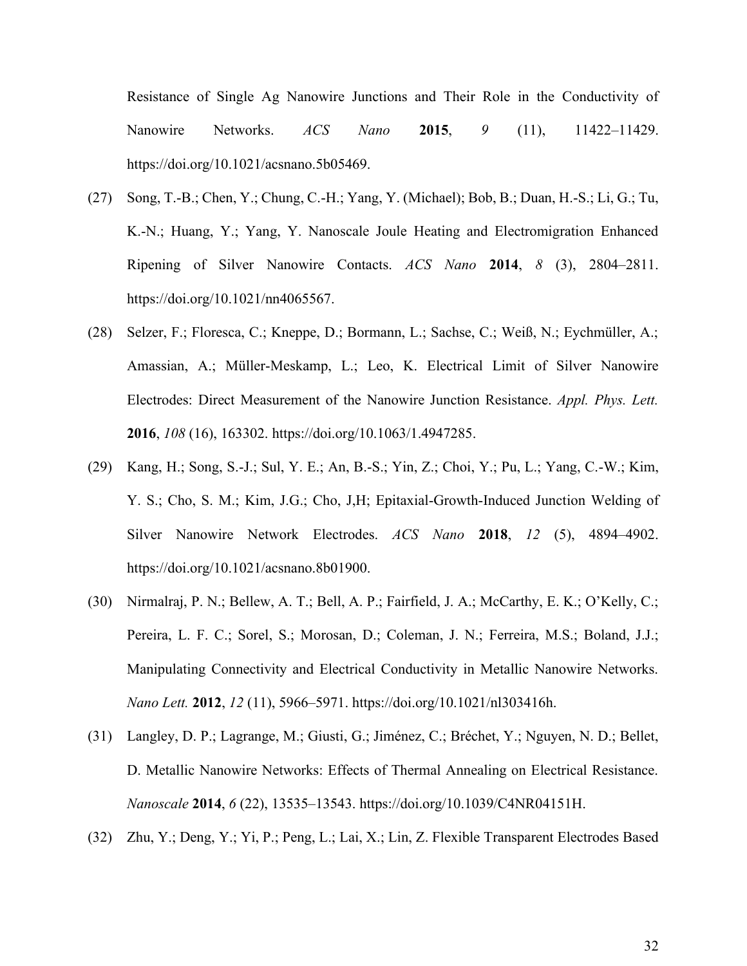Resistance of Single Ag Nanowire Junctions and Their Role in the Conductivity of Nanowire Networks. *ACS Nano* **2015**, *9* (11), 11422–11429. https://doi.org/10.1021/acsnano.5b05469.

- (27) Song, T.-B.; Chen, Y.; Chung, C.-H.; Yang, Y. (Michael); Bob, B.; Duan, H.-S.; Li, G.; Tu, K.-N.; Huang, Y.; Yang, Y. Nanoscale Joule Heating and Electromigration Enhanced Ripening of Silver Nanowire Contacts. *ACS Nano* **2014**, *8* (3), 2804–2811. https://doi.org/10.1021/nn4065567.
- (28) Selzer, F.; Floresca, C.; Kneppe, D.; Bormann, L.; Sachse, C.; Weiß, N.; Eychmüller, A.; Amassian, A.; Müller-Meskamp, L.; Leo, K. Electrical Limit of Silver Nanowire Electrodes: Direct Measurement of the Nanowire Junction Resistance. *Appl. Phys. Lett.* **2016**, *108* (16), 163302. https://doi.org/10.1063/1.4947285.
- (29) Kang, H.; Song, S.-J.; Sul, Y. E.; An, B.-S.; Yin, Z.; Choi, Y.; Pu, L.; Yang, C.-W.; Kim, Y. S.; Cho, S. M.; Kim, J.G.; Cho, J,H; Epitaxial-Growth-Induced Junction Welding of Silver Nanowire Network Electrodes. *ACS Nano* **2018**, *12* (5), 4894–4902. https://doi.org/10.1021/acsnano.8b01900.
- (30) Nirmalraj, P. N.; Bellew, A. T.; Bell, A. P.; Fairfield, J. A.; McCarthy, E. K.; O'Kelly, C.; Pereira, L. F. C.; Sorel, S.; Morosan, D.; Coleman, J. N.; Ferreira, M.S.; Boland, J.J.; Manipulating Connectivity and Electrical Conductivity in Metallic Nanowire Networks. *Nano Lett.* **2012**, *12* (11), 5966–5971. https://doi.org/10.1021/nl303416h.
- (31) Langley, D. P.; Lagrange, M.; Giusti, G.; Jiménez, C.; Bréchet, Y.; Nguyen, N. D.; Bellet, D. Metallic Nanowire Networks: Effects of Thermal Annealing on Electrical Resistance. *Nanoscale* **2014**, *6* (22), 13535–13543. https://doi.org/10.1039/C4NR04151H.
- (32) Zhu, Y.; Deng, Y.; Yi, P.; Peng, L.; Lai, X.; Lin, Z. Flexible Transparent Electrodes Based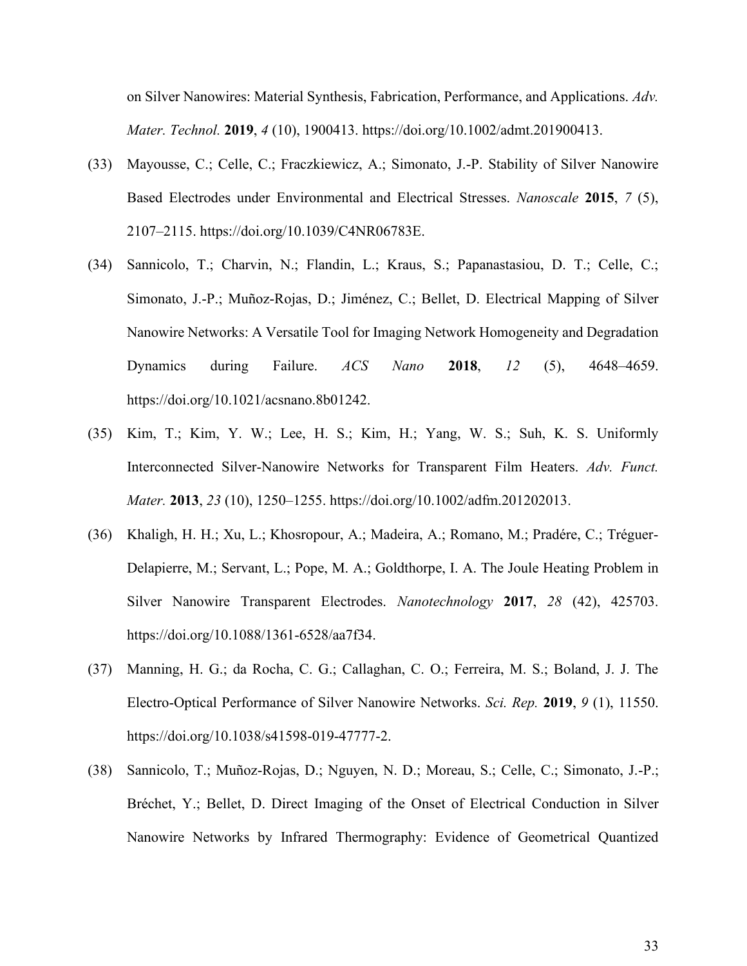on Silver Nanowires: Material Synthesis, Fabrication, Performance, and Applications. *Adv. Mater. Technol.* **2019**, *4* (10), 1900413. https://doi.org/10.1002/admt.201900413.

- (33) Mayousse, C.; Celle, C.; Fraczkiewicz, A.; Simonato, J.-P. Stability of Silver Nanowire Based Electrodes under Environmental and Electrical Stresses. *Nanoscale* **2015**, *7* (5), 2107–2115. https://doi.org/10.1039/C4NR06783E.
- (34) Sannicolo, T.; Charvin, N.; Flandin, L.; Kraus, S.; Papanastasiou, D. T.; Celle, C.; Simonato, J.-P.; Muñoz-Rojas, D.; Jiménez, C.; Bellet, D. Electrical Mapping of Silver Nanowire Networks: A Versatile Tool for Imaging Network Homogeneity and Degradation Dynamics during Failure. *ACS Nano* **2018**, *12* (5), 4648–4659. https://doi.org/10.1021/acsnano.8b01242.
- (35) Kim, T.; Kim, Y. W.; Lee, H. S.; Kim, H.; Yang, W. S.; Suh, K. S. Uniformly Interconnected Silver-Nanowire Networks for Transparent Film Heaters. *Adv. Funct. Mater.* **2013**, *23* (10), 1250–1255. https://doi.org/10.1002/adfm.201202013.
- (36) Khaligh, H. H.; Xu, L.; Khosropour, A.; Madeira, A.; Romano, M.; Pradére, C.; Tréguer-Delapierre, M.; Servant, L.; Pope, M. A.; Goldthorpe, I. A. The Joule Heating Problem in Silver Nanowire Transparent Electrodes. *Nanotechnology* **2017**, *28* (42), 425703. https://doi.org/10.1088/1361-6528/aa7f34.
- (37) Manning, H. G.; da Rocha, C. G.; Callaghan, C. O.; Ferreira, M. S.; Boland, J. J. The Electro-Optical Performance of Silver Nanowire Networks. *Sci. Rep.* **2019**, *9* (1), 11550. https://doi.org/10.1038/s41598-019-47777-2.
- (38) Sannicolo, T.; Muñoz-Rojas, D.; Nguyen, N. D.; Moreau, S.; Celle, C.; Simonato, J.-P.; Bréchet, Y.; Bellet, D. Direct Imaging of the Onset of Electrical Conduction in Silver Nanowire Networks by Infrared Thermography: Evidence of Geometrical Quantized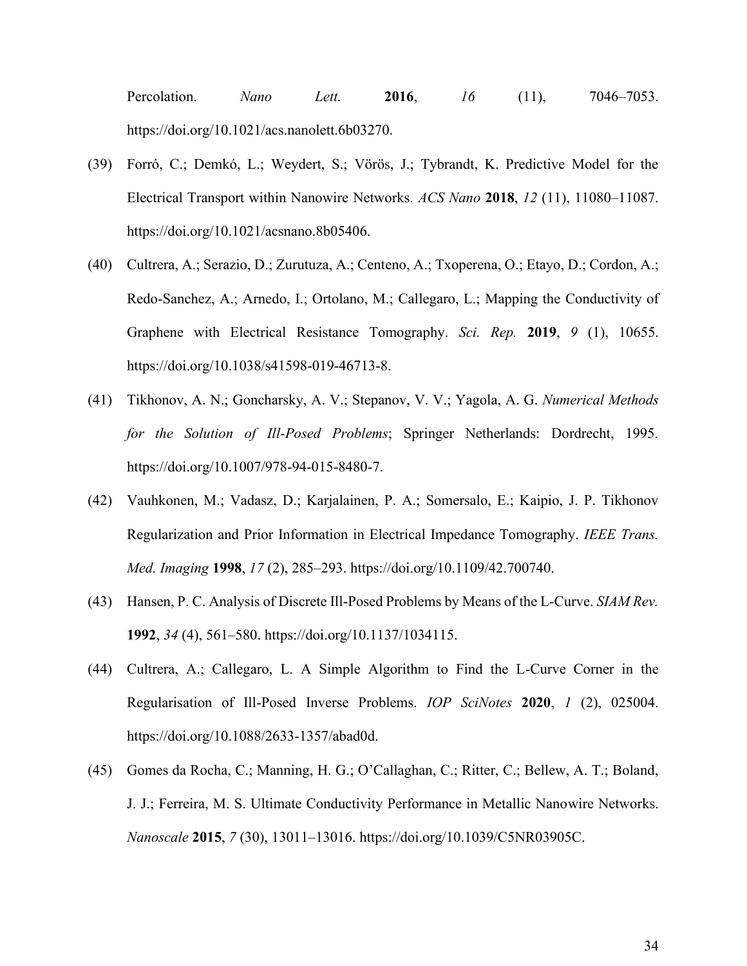Percolation. *Nano Lett.* **2016**, *16* (11), 7046–7053. https://doi.org/10.1021/acs.nanolett.6b03270.

- (39) Forró, C.; Demkó, L.; Weydert, S.; Vörös, J.; Tybrandt, K. Predictive Model for the Electrical Transport within Nanowire Networks. *ACS Nano* **2018**, *12* (11), 11080–11087. https://doi.org/10.1021/acsnano.8b05406.
- (40) Cultrera, A.; Serazio, D.; Zurutuza, A.; Centeno, A.; Txoperena, O.; Etayo, D.; Cordon, A.; Redo-Sanchez, A.; Arnedo, I.; Ortolano, M.; Callegaro, L.; Mapping the Conductivity of Graphene with Electrical Resistance Tomography. *Sci. Rep.* **2019**, *9* (1), 10655. https://doi.org/10.1038/s41598-019-46713-8.
- (41) Tikhonov, A. N.; Goncharsky, A. V.; Stepanov, V. V.; Yagola, A. G. *Numerical Methods for the Solution of Ill-Posed Problems*; Springer Netherlands: Dordrecht, 1995. https://doi.org/10.1007/978-94-015-8480-7.
- (42) Vauhkonen, M.; Vadasz, D.; Karjalainen, P. A.; Somersalo, E.; Kaipio, J. P. Tikhonov Regularization and Prior Information in Electrical Impedance Tomography. *IEEE Trans. Med. Imaging* **1998**, *17* (2), 285–293. https://doi.org/10.1109/42.700740.
- (43) Hansen, P. C. Analysis of Discrete Ill-Posed Problems by Means of the L-Curve. *SIAM Rev.* **1992**, *34* (4), 561–580. https://doi.org/10.1137/1034115.
- (44) Cultrera, A.; Callegaro, L. A Simple Algorithm to Find the L-Curve Corner in the Regularisation of Ill-Posed Inverse Problems. *IOP SciNotes* **2020**, *1* (2), 025004. https://doi.org/10.1088/2633-1357/abad0d.
- (45) Gomes da Rocha, C.; Manning, H. G.; O'Callaghan, C.; Ritter, C.; Bellew, A. T.; Boland, J. J.; Ferreira, M. S. Ultimate Conductivity Performance in Metallic Nanowire Networks. *Nanoscale* **2015**, *7* (30), 13011–13016. https://doi.org/10.1039/C5NR03905C.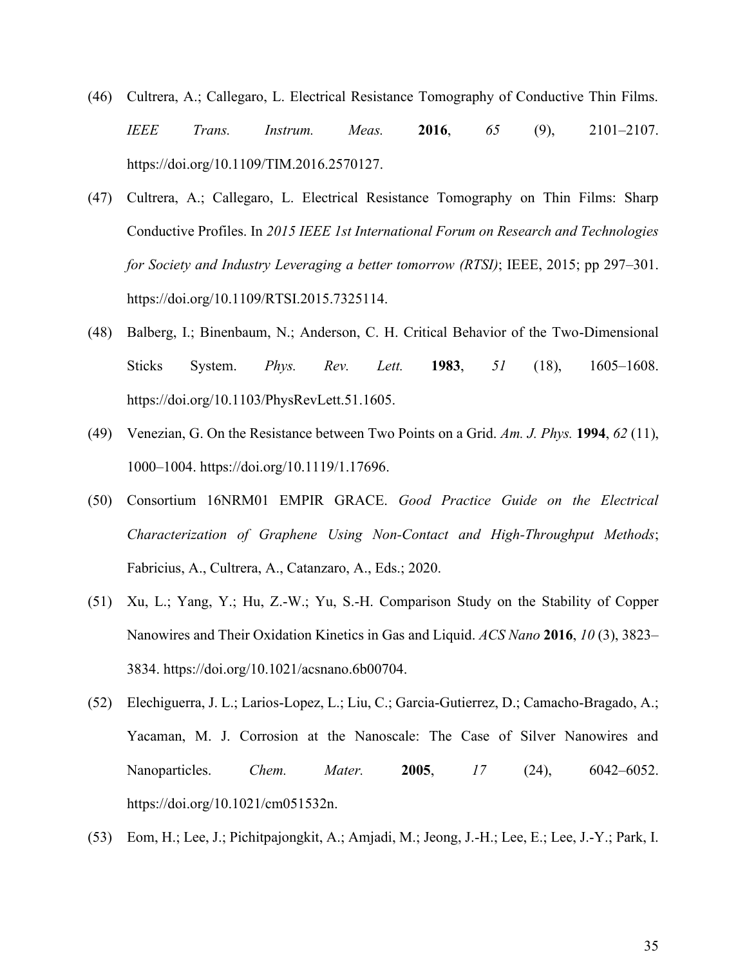- (46) Cultrera, A.; Callegaro, L. Electrical Resistance Tomography of Conductive Thin Films. *IEEE Trans. Instrum. Meas.* **2016**, *65* (9), 2101–2107. https://doi.org/10.1109/TIM.2016.2570127.
- (47) Cultrera, A.; Callegaro, L. Electrical Resistance Tomography on Thin Films: Sharp Conductive Profiles. In *2015 IEEE 1st International Forum on Research and Technologies for Society and Industry Leveraging a better tomorrow (RTSI)*; IEEE, 2015; pp 297–301. https://doi.org/10.1109/RTSI.2015.7325114.
- (48) Balberg, I.; Binenbaum, N.; Anderson, C. H. Critical Behavior of the Two-Dimensional Sticks System. *Phys. Rev. Lett.* **1983**, *51* (18), 1605–1608. https://doi.org/10.1103/PhysRevLett.51.1605.
- (49) Venezian, G. On the Resistance between Two Points on a Grid. *Am. J. Phys.* **1994**, *62* (11), 1000–1004. https://doi.org/10.1119/1.17696.
- (50) Consortium 16NRM01 EMPIR GRACE. *Good Practice Guide on the Electrical Characterization of Graphene Using Non-Contact and High-Throughput Methods*; Fabricius, A., Cultrera, A., Catanzaro, A., Eds.; 2020.
- (51) Xu, L.; Yang, Y.; Hu, Z.-W.; Yu, S.-H. Comparison Study on the Stability of Copper Nanowires and Their Oxidation Kinetics in Gas and Liquid. *ACS Nano* **2016**, *10* (3), 3823– 3834. https://doi.org/10.1021/acsnano.6b00704.
- (52) Elechiguerra, J. L.; Larios-Lopez, L.; Liu, C.; Garcia-Gutierrez, D.; Camacho-Bragado, A.; Yacaman, M. J. Corrosion at the Nanoscale: The Case of Silver Nanowires and Nanoparticles. *Chem. Mater.* **2005**, *17* (24), 6042–6052. https://doi.org/10.1021/cm051532n.
- (53) Eom, H.; Lee, J.; Pichitpajongkit, A.; Amjadi, M.; Jeong, J.-H.; Lee, E.; Lee, J.-Y.; Park, I.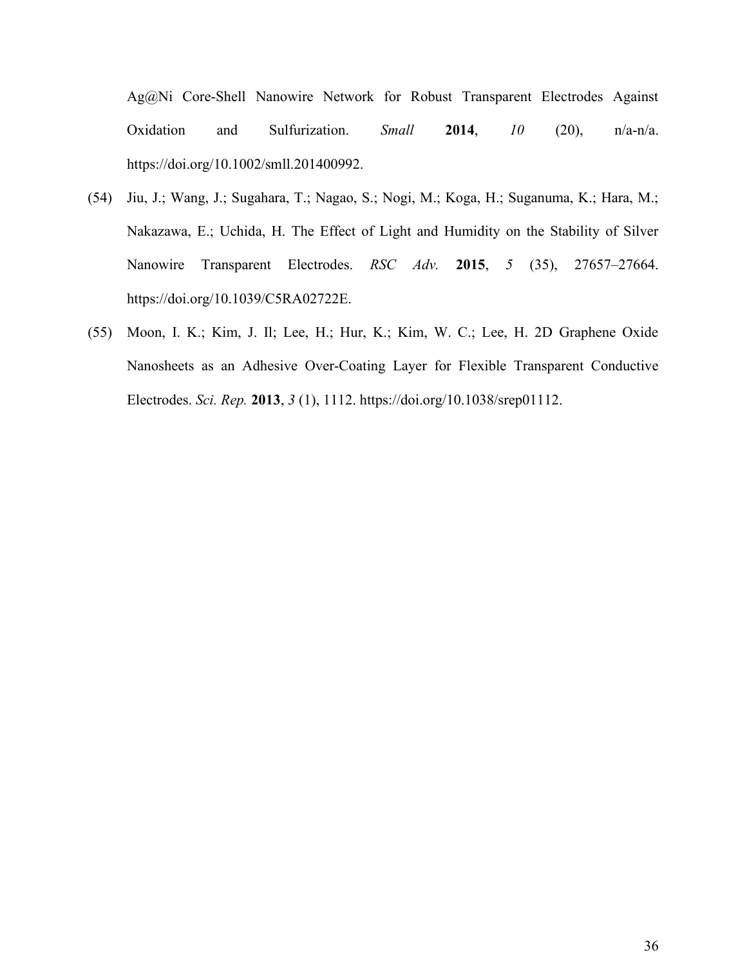Ag@Ni Core-Shell Nanowire Network for Robust Transparent Electrodes Against Oxidation and Sulfurization. *Small* **2014**, *10* (20), n/a-n/a. https://doi.org/10.1002/smll.201400992.

- (54) Jiu, J.; Wang, J.; Sugahara, T.; Nagao, S.; Nogi, M.; Koga, H.; Suganuma, K.; Hara, M.; Nakazawa, E.; Uchida, H. The Effect of Light and Humidity on the Stability of Silver Nanowire Transparent Electrodes. *RSC Adv.* **2015**, *5* (35), 27657–27664. https://doi.org/10.1039/C5RA02722E.
- (55) Moon, I. K.; Kim, J. Il; Lee, H.; Hur, K.; Kim, W. C.; Lee, H. 2D Graphene Oxide Nanosheets as an Adhesive Over-Coating Layer for Flexible Transparent Conductive Electrodes. *Sci. Rep.* **2013**, *3* (1), 1112. https://doi.org/10.1038/srep01112.